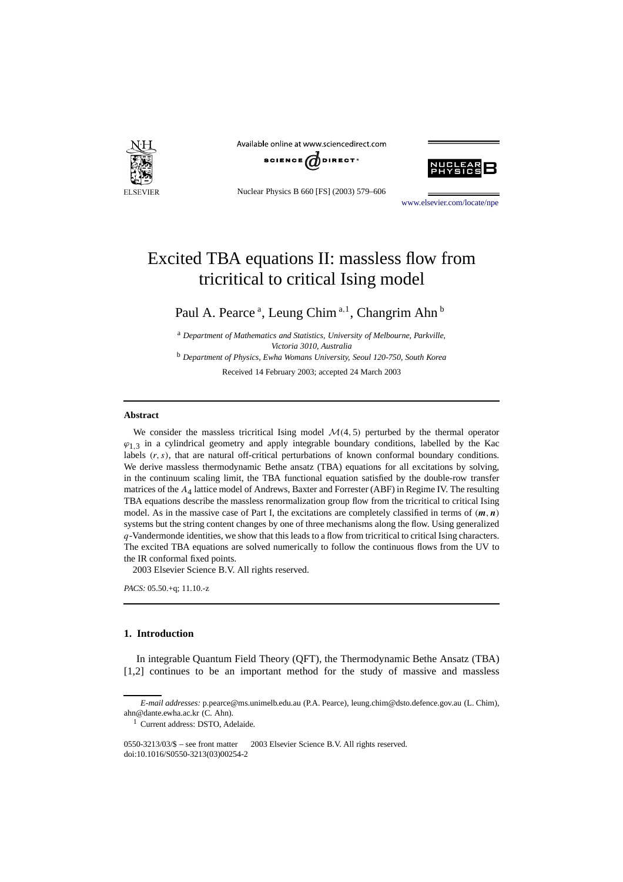

Available online at www.sciencedirect.com



Nuclear Physics B 660 [FS] (2003) 579–606



[www.elsevier.com/locate/npe](http://www.elsevier.com/locate/npe)

# Excited TBA equations II: massless flow from tricritical to critical Ising model

Paul A. Pearce<sup>a</sup>, Leung Chim<sup>a,1</sup>, Changrim Ahn<sup>b</sup>

<sup>a</sup> *Department of Mathematics and Statistics, University of Melbourne, Parkville, Victoria 3010, Australia* <sup>b</sup> *Department of Physics, Ewha Womans University, Seoul 120-750, South Korea*

Received 14 February 2003; accepted 24 March 2003

#### **Abstract**

We consider the massless tricritical Ising model  $\mathcal{M}(4, 5)$  perturbed by the thermal operator  $\varphi_1$ <sub>3</sub> in a cylindrical geometry and apply integrable boundary conditions, labelled by the Kac labels  $(r, s)$ , that are natural off-critical perturbations of known conformal boundary conditions. We derive massless thermodynamic Bethe ansatz (TBA) equations for all excitations by solving, in the continuum scaling limit, the TBA functional equation satisfied by the double-row transfer matrices of the *A*4 lattice model of Andrews, Baxter and Forrester (ABF) in Regime IV. The resulting TBA equations describe the massless renormalization group flow from the tricritical to critical Ising model. As in the massive case of Part I, the excitations are completely classified in terms of  $(m, n)$ systems but the string content changes by one of three mechanisms along the flow. Using generalized *q*-Vandermonde identities, we show that this leads to a flow from tricritical to critical Ising characters. The excited TBA equations are solved numerically to follow the continuous flows from the UV to the IR conformal fixed points.

2003 Elsevier Science B.V. All rights reserved.

*PACS:* 05.50.+q; 11.10.-z

# **1. Introduction**

In integrable Quantum Field Theory (QFT), the Thermodynamic Bethe Ansatz (TBA) [1,2] continues to be an important method for the study of massive and massless

*E-mail addresses:* p.pearce@ms.unimelb.edu.au (P.A. Pearce), leung.chim@dsto.defence.gov.au (L. Chim), ahn@dante.ewha.ac.kr (C. Ahn).

<sup>1</sup> Current address: DSTO, Adelaide.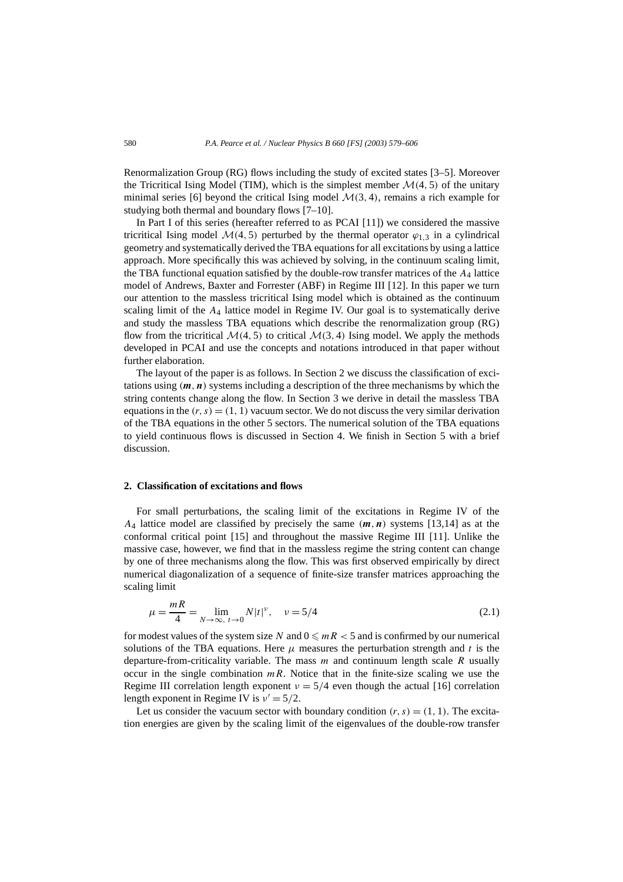Renormalization Group (RG) flows including the study of excited states [3–5]. Moreover the Tricritical Ising Model (TIM), which is the simplest member  $\mathcal{M}(4, 5)$  of the unitary minimal series [6] beyond the critical Ising model  $\mathcal{M}(3, 4)$ , remains a rich example for studying both thermal and boundary flows [7–10].

In Part I of this series (hereafter referred to as PCAI [11]) we considered the massive tricritical Ising model  $\mathcal{M}(4, 5)$  perturbed by the thermal operator  $\varphi_{1,3}$  in a cylindrical geometry and systematically derived the TBA equations for all excitations by using a lattice approach. More specifically this was achieved by solving, in the continuum scaling limit, the TBA functional equation satisfied by the double-row transfer matrices of the *A*<sup>4</sup> lattice model of Andrews, Baxter and Forrester (ABF) in Regime III [12]. In this paper we turn our attention to the massless tricritical Ising model which is obtained as the continuum scaling limit of the *A*<sup>4</sup> lattice model in Regime IV. Our goal is to systematically derive and study the massless TBA equations which describe the renormalization group (RG) flow from the tricritical  $\mathcal{M}(4, 5)$  to critical  $\mathcal{M}(3, 4)$  Ising model. We apply the methods developed in PCAI and use the concepts and notations introduced in that paper without further elaboration.

The layout of the paper is as follows. In Section 2 we discuss the classification of excitations using *(m,n)* systems including a description of the three mechanisms by which the string contents change along the flow. In Section 3 we derive in detail the massless TBA equations in the  $(r, s) = (1, 1)$  vacuum sector. We do not discuss the very similar derivation of the TBA equations in the other 5 sectors. The numerical solution of the TBA equations to yield continuous flows is discussed in Section 4. We finish in Section 5 with a brief discussion.

#### **2. Classification of excitations and flows**

For small perturbations, the scaling limit of the excitations in Regime IV of the  $A_4$  lattice model are classified by precisely the same  $(m, n)$  systems [13,14] as at the conformal critical point [15] and throughout the massive Regime III [11]. Unlike the massive case, however, we find that in the massless regime the string content can change by one of three mechanisms along the flow. This was first observed empirically by direct numerical diagonalization of a sequence of finite-size transfer matrices approaching the scaling limit

$$
\mu = \frac{mR}{4} = \lim_{N \to \infty, t \to 0} N|t|^{\nu}, \quad \nu = 5/4
$$
\n(2.1)

for modest values of the system size *N* and  $0 \le mR < 5$  and is confirmed by our numerical solutions of the TBA equations. Here  $\mu$  measures the perturbation strength and  $t$  is the departure-from-criticality variable. The mass *m* and continuum length scale *R* usually occur in the single combination  $mR$ . Notice that in the finite-size scaling we use the Regime III correlation length exponent  $v = 5/4$  even though the actual [16] correlation length exponent in Regime IV is  $v' = 5/2$ .

Let us consider the vacuum sector with boundary condition  $(r, s) = (1, 1)$ . The excitation energies are given by the scaling limit of the eigenvalues of the double-row transfer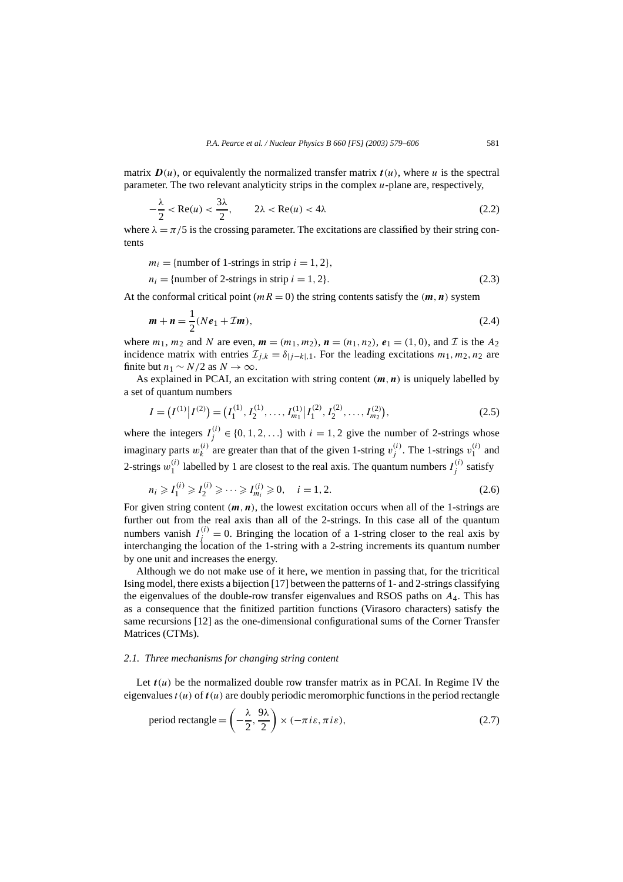matrix  $D(u)$ , or equivalently the normalized transfer matrix  $t(u)$ , where *u* is the spectral parameter. The two relevant analyticity strips in the complex *u*-plane are, respectively,

$$
-\frac{\lambda}{2} < \text{Re}(u) < \frac{3\lambda}{2}, \qquad 2\lambda < \text{Re}(u) < 4\lambda \tag{2.2}
$$

where  $\lambda = \pi/5$  is the crossing parameter. The excitations are classified by their string contents

$$
m_i = \{\text{number of 1-strings in strip } i = 1, 2\},\
$$
  

$$
n_i = \{\text{number of 2-strings in strip } i = 1, 2\}.
$$
 (2.3)

At the conformal critical point ( $mR = 0$ ) the string contents satisfy the  $(m, n)$  system

$$
m + n = \frac{1}{2}(Ne_1 + \mathcal{I}m),
$$
\n(2.4)

where  $m_1$ ,  $m_2$  and N are even,  $m = (m_1, m_2)$ ,  $n = (n_1, n_2)$ ,  $e_1 = (1, 0)$ , and T is the  $A_2$ incidence matrix with entries  $\mathcal{I}_{j,k} = \delta_{|j-k|,1}$ . For the leading excitations  $m_1, m_2, n_2$  are finite but  $n_1 \sim N/2$  as  $N \to \infty$ .

As explained in PCAI, an excitation with string content *(m,n)* is uniquely labelled by a set of quantum numbers

$$
I = (I^{(1)} | I^{(2)}) = (I_1^{(1)}, I_2^{(1)}, \dots, I_{m_1}^{(1)} | I_1^{(2)}, I_2^{(2)}, \dots, I_{m_2}^{(2)}),
$$
\n(2.5)

where the integers  $I_j^{(i)} \in \{0, 1, 2, ...\}$  with  $i = 1, 2$  give the number of 2-strings whose imaginary parts  $w_k^{(i)}$  are greater than that of the given 1-string  $v_j^{(i)}$ . The 1-strings  $v_1^{(i)}$  and 2-strings  $w_1^{(i)}$  labelled by 1 are closest to the real axis. The quantum numbers  $I_j^{(i)}$  satisfy

$$
n_i \geqslant I_1^{(i)} \geqslant I_2^{(i)} \geqslant \dots \geqslant I_{m_i}^{(i)} \geqslant 0, \quad i = 1, 2. \tag{2.6}
$$

For given string content  $(m, n)$ , the lowest excitation occurs when all of the 1-strings are further out from the real axis than all of the 2-strings. In this case all of the quantum numbers vanish  $I_j^{(i)} = 0$ . Bringing the location of a 1-string closer to the real axis by interchanging the location of the 1-string with a 2-string increments its quantum number by one unit and increases the energy.

Although we do not make use of it here, we mention in passing that, for the tricritical Ising model, there exists a bijection [17] between the patterns of 1- and 2-strings classifying the eigenvalues of the double-row transfer eigenvalues and RSOS paths on *A*4. This has as a consequence that the finitized partition functions (Virasoro characters) satisfy the same recursions [12] as the one-dimensional configurational sums of the Corner Transfer Matrices (CTMs).

#### *2.1. Three mechanisms for changing string content*

Let  $t(u)$  be the normalized double row transfer matrix as in PCAI. In Regime IV the eigenvalues  $t(u)$  of  $t(u)$  are doubly periodic meromorphic functions in the period rectangle

period rectangle = 
$$
\left(-\frac{\lambda}{2}, \frac{9\lambda}{2}\right) \times (-\pi i\varepsilon, \pi i\varepsilon),
$$
 (2.7)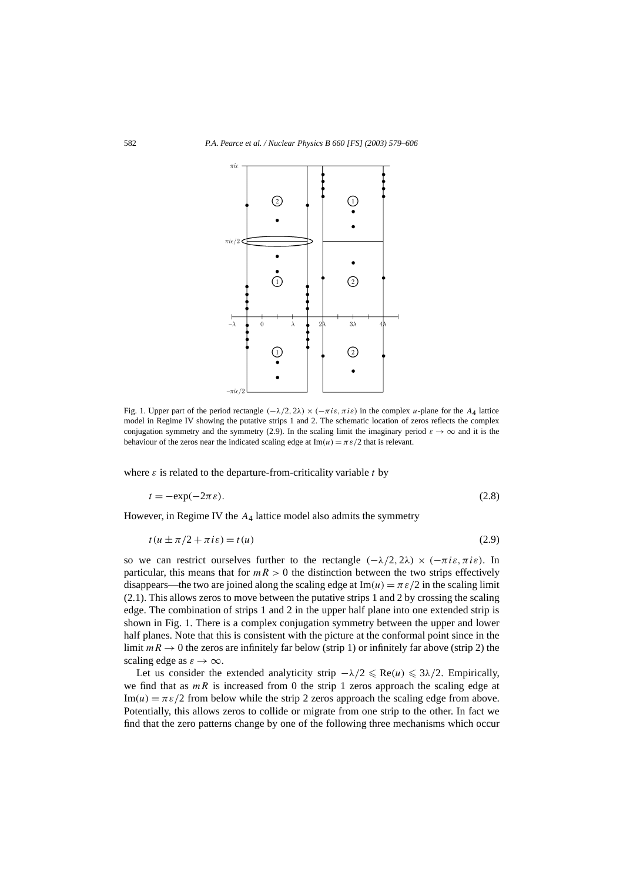

Fig. 1. Upper part of the period rectangle  $(-\lambda/2, 2\lambda) \times (-\pi i \varepsilon, \pi i \varepsilon)$  in the complex *u*-plane for the  $A_4$  lattice model in Regime IV showing the putative strips 1 and 2. The schematic location of zeros reflects the complex conjugation symmetry and the symmetry (2.9). In the scaling limit the imaginary period  $\varepsilon \to \infty$  and it is the behaviour of the zeros near the indicated scaling edge at  $Im(u) = \pi \varepsilon/2$  that is relevant.

where  $\varepsilon$  is related to the departure-from-criticality variable  $t$  by

$$
t = -\exp(-2\pi\varepsilon). \tag{2.8}
$$

However, in Regime IV the *A*<sup>4</sup> lattice model also admits the symmetry

$$
t(u \pm \pi/2 + \pi i \varepsilon) = t(u) \tag{2.9}
$$

so we can restrict ourselves further to the rectangle  $(-\lambda/2, 2\lambda) \times (-\pi i \varepsilon, \pi i \varepsilon)$ . In particular, this means that for  $mR > 0$  the distinction between the two strips effectively disappears—the two are joined along the scaling edge at  $Im(u) = \pi \epsilon/2$  in the scaling limit (2.1). This allows zeros to move between the putative strips 1 and 2 by crossing the scaling edge. The combination of strips 1 and 2 in the upper half plane into one extended strip is shown in Fig. 1. There is a complex conjugation symmetry between the upper and lower half planes. Note that this is consistent with the picture at the conformal point since in the limit  $mR \to 0$  the zeros are infinitely far below (strip 1) or infinitely far above (strip 2) the scaling edge as  $\varepsilon \to \infty$ .

Let us consider the extended analyticity strip  $-\lambda/2 \leq Re(u) \leq 3\lambda/2$ . Empirically, we find that as  $mR$  is increased from 0 the strip 1 zeros approach the scaling edge at  $\text{Im}(u) = \pi \varepsilon/2$  from below while the strip 2 zeros approach the scaling edge from above. Potentially, this allows zeros to collide or migrate from one strip to the other. In fact we find that the zero patterns change by one of the following three mechanisms which occur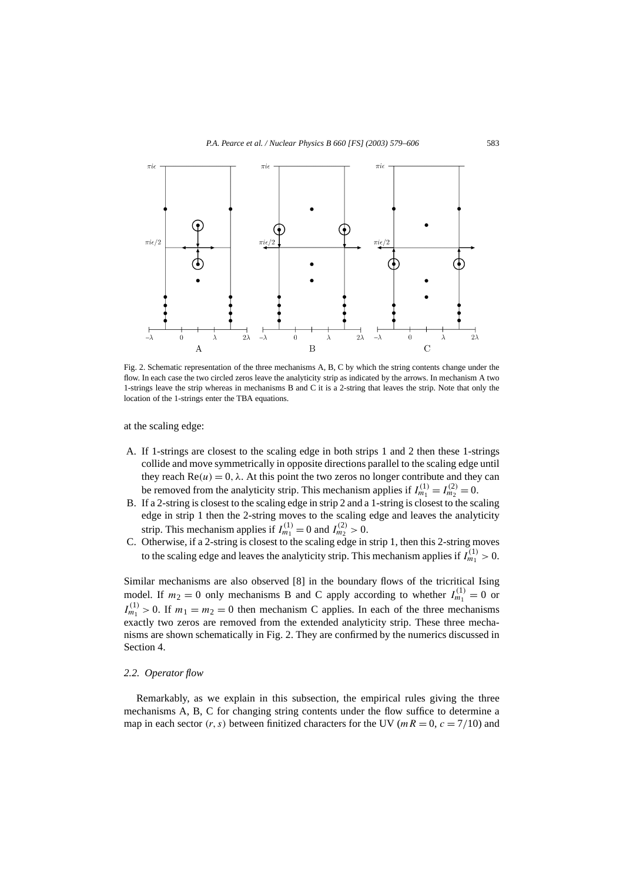

Fig. 2. Schematic representation of the three mechanisms A, B, C by which the string contents change under the flow. In each case the two circled zeros leave the analyticity strip as indicated by the arrows. In mechanism A two 1-strings leave the strip whereas in mechanisms B and C it is a 2-string that leaves the strip. Note that only the location of the 1-strings enter the TBA equations.

at the scaling edge:

- A. If 1-strings are closest to the scaling edge in both strips 1 and 2 then these 1-strings collide and move symmetrically in opposite directions parallel to the scaling edge until they reach  $Re(u) = 0$ ,  $\lambda$ . At this point the two zeros no longer contribute and they can be removed from the analyticity strip. This mechanism applies if  $I_{m_1}^{(1)} = I_{m_2}^{(2)} = 0$ .
- B. If a 2-string is closest to the scaling edge in strip 2 and a 1-string is closest to the scaling edge in strip 1 then the 2-string moves to the scaling edge and leaves the analyticity strip. This mechanism applies if  $I_{m_1}^{(1)} = 0$  and  $I_{m_2}^{(2)} > 0$ .
- C. Otherwise, if a 2-string is closest to the scaling edge in strip 1, then this 2-string moves to the scaling edge and leaves the analyticity strip. This mechanism applies if  $I_{m_1}^{(1)} > 0$ .

Similar mechanisms are also observed [8] in the boundary flows of the tricritical Ising model. If  $m_2 = 0$  only mechanisms B and C apply according to whether  $I_{m_1}^{(1)} = 0$  or  $I_{m_1}^{(1)} > 0$ . If  $m_1 = m_2 = 0$  then mechanism C applies. In each of the three mechanisms exactly two zeros are removed from the extended analyticity strip. These three mechanisms are shown schematically in Fig. 2. They are confirmed by the numerics discussed in Section 4.

#### *2.2. Operator flow*

Remarkably, as we explain in this subsection, the empirical rules giving the three mechanisms A, B, C for changing string contents under the flow suffice to determine a map in each sector  $(r, s)$  between finitized characters for the UV ( $mR = 0$ ,  $c = 7/10$ ) and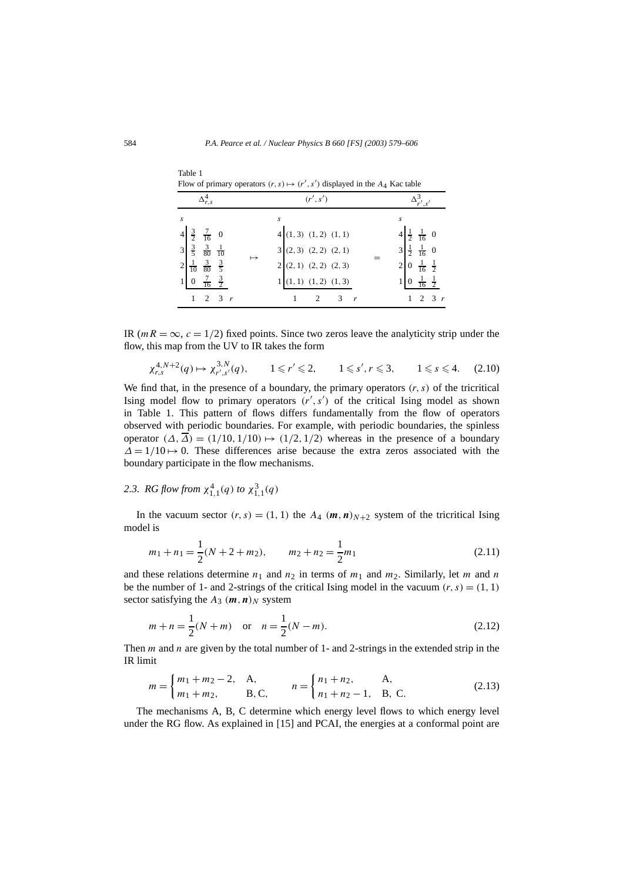| Flow of primary operators $(r, s) \mapsto (r', s')$ displayed in the A <sub>4</sub> Kac table                                                   |                              |  |           |                                                               |  |                                                                                                                |  |  |  |  |
|-------------------------------------------------------------------------------------------------------------------------------------------------|------------------------------|--|-----------|---------------------------------------------------------------|--|----------------------------------------------------------------------------------------------------------------|--|--|--|--|
| $\Delta_{r,s}^4$                                                                                                                                |                              |  |           | (r', s')                                                      |  |                                                                                                                |  |  |  |  |
| S<br>$rac{3}{2}$ $rac{7}{16}$ 0<br>$\frac{3}{5}$ $\frac{3}{80}$ $\frac{1}{10}$<br>$\overline{3}$<br>$\frac{1}{10}$ $\frac{3}{80}$ $\frac{3}{5}$ |                              |  | $\mapsto$ | S<br>4(1,3)(1,2)(1,1)<br>3(2,3)(2,2)(2,1)<br>2(2,1)(2,2)(2,3) |  | $4\frac{1}{2} \frac{1}{16} 0$<br>$3\frac{1}{2} \frac{1}{16} 0$<br>$\frac{1}{16}$ $\frac{1}{2}$<br>$\mathbf{0}$ |  |  |  |  |
| $\overline{0}$                                                                                                                                  | $\frac{7}{16}$ $\frac{3}{2}$ |  |           | $1(1,1)$ $(1,2)$ $(1,3)$                                      |  | $\frac{1}{16}$ $\frac{1}{2}$                                                                                   |  |  |  |  |
|                                                                                                                                                 | 3<br>$\mathcal{P}$           |  |           |                                                               |  | $\mathcal{E}$<br>2                                                                                             |  |  |  |  |

Flow of primary operators  $(r, s) \mapsto (r'$ *, s )* displayed in the *A*4 Kac table

IR ( $mR = \infty$ ,  $c = 1/2$ ) fixed points. Since two zeros leave the analyticity strip under the flow, this map from the UV to IR takes the form

$$
\chi^{4,N+2}_{r,s}(q) \mapsto \chi^{3,N}_{r',s'}(q), \qquad 1 \leq r' \leq 2, \qquad 1 \leq s', r \leq 3, \qquad 1 \leq s \leq 4. \tag{2.10}
$$

We find that, in the presence of a boundary, the primary operators  $(r, s)$  of the tricritical Ising model flow to primary operators  $(r', s')$  of the critical Ising model as shown in Table 1. This pattern of flows differs fundamentally from the flow of operators observed with periodic boundaries. For example, with periodic boundaries, the spinless operator  $(\Delta, \Delta) = (1/10, 1/10) \rightarrow (1/2, 1/2)$  whereas in the presence of a boundary *∆* = 1/10 → 0. These differences arise because the extra zeros associated with the boundary participate in the flow mechanisms.

# 2.3. *RG* flow from  $\chi_{1,1}^4(q)$  to  $\chi_{1,1}^3(q)$

In the vacuum sector  $(r, s) = (1, 1)$  the  $A_4$   $(m, n)_{N+2}$  system of the tricritical Ising model is

$$
m_1 + n_1 = \frac{1}{2}(N + 2 + m_2), \qquad m_2 + n_2 = \frac{1}{2}m_1
$$
\n(2.11)

and these relations determine  $n_1$  and  $n_2$  in terms of  $m_1$  and  $m_2$ . Similarly, let  $m$  and  $n$ be the number of 1- and 2-strings of the critical Ising model in the vacuum  $(r, s) = (1, 1)$ sector satisfying the  $A_3$   $(m, n)_N$  system

$$
m + n = \frac{1}{2}(N + m) \quad \text{or} \quad n = \frac{1}{2}(N - m). \tag{2.12}
$$

Then *m* and *n* are given by the total number of 1- and 2-strings in the extended strip in the IR limit

$$
m = \begin{cases} m_1 + m_2 - 2, & A, \\ m_1 + m_2, & B, C, \end{cases} \qquad n = \begin{cases} n_1 + n_2, & A, \\ n_1 + n_2 - 1, & B, C. \end{cases}
$$
 (2.13)

The mechanisms A, B, C determine which energy level flows to which energy level under the RG flow. As explained in [15] and PCAI, the energies at a conformal point are

Table 1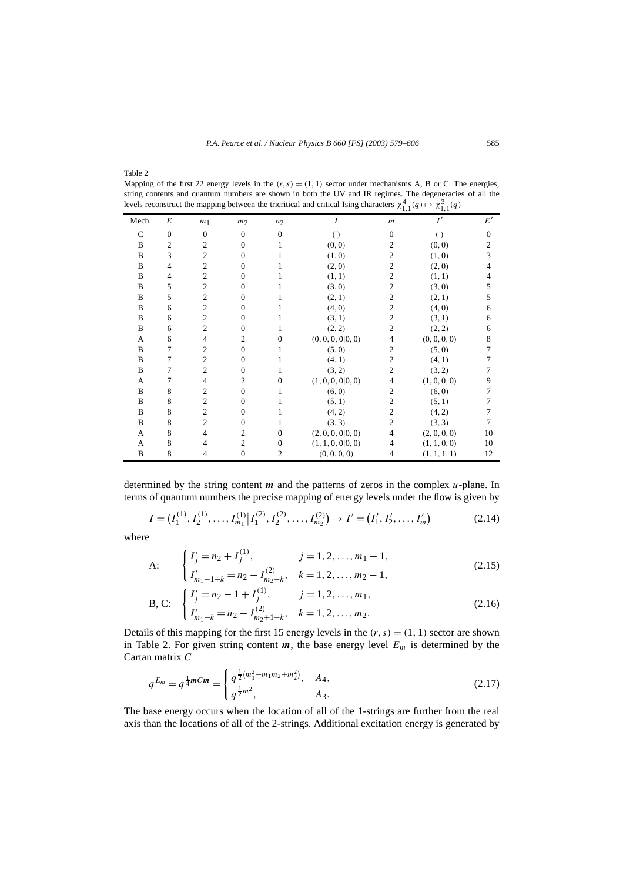Table 2

Mapping of the first 22 energy levels in the  $(r, s) = (1, 1)$  sector under mechanisms A, B or C. The energies, string contents and quantum numbers are shown in both the UV and IR regimes. The degeneracies of all the levels reconstruct the mapping between the tricritical and critical Ising characters  $\chi^4_{1,1}(q) \mapsto \chi^3_{1,1}(q)$ 

| Mech.        | E              | m <sub>1</sub> | m <sub>2</sub> | n <sub>2</sub> | Ι                 | .,.<br>$\boldsymbol{m}$ | $\ldots$<br>I'   | $E^{\prime}$ |
|--------------|----------------|----------------|----------------|----------------|-------------------|-------------------------|------------------|--------------|
| $\mathsf{C}$ | $\mathbf{0}$   | $\overline{0}$ | $\mathbf{0}$   | $\theta$       |                   | $\overline{0}$          |                  | $\theta$     |
| B            | $\overline{2}$ | $\overline{c}$ | $\Omega$       |                | $\left( \right)$  | $\overline{2}$          | $\left( \right)$ |              |
|              |                |                |                |                | (0, 0)            |                         | (0, 0)           | 2            |
| B            | 3              | $\overline{c}$ | $\overline{0}$ |                | (1, 0)            | $\overline{c}$          | (1, 0)           | 3            |
| B            | $\overline{4}$ | $\overline{c}$ | $\Omega$       |                | (2, 0)            | $\mathbf{2}$            | (2, 0)           | 4            |
| B            | 4              | $\overline{c}$ | $\mathbf{0}$   |                | (1, 1)            | $\overline{2}$          | (1, 1)           | 4            |
| B            | 5              | $\mathfrak{2}$ | $\theta$       |                | (3, 0)            | $\overline{2}$          | (3, 0)           | 5            |
| B            | 5              | $\mathfrak{2}$ | $\theta$       |                | (2, 1)            | $\overline{2}$          | (2, 1)           | 5            |
| B            | 6              | $\overline{c}$ | $\Omega$       |                | (4, 0)            | $\overline{c}$          | (4, 0)           | 6            |
| B            | 6              | $\overline{c}$ | $\Omega$       |                | (3, 1)            | $\overline{2}$          | (3, 1)           | 6            |
| B            | 6              | $\overline{c}$ | $\Omega$       |                | (2, 2)            | $\mathfrak{2}$          | (2, 2)           | 6            |
| A            | 6              | $\overline{4}$ | $\mathfrak{2}$ | $\Omega$       | (0, 0, 0, 0 0, 0) | $\overline{4}$          | (0, 0, 0, 0)     | 8            |
| B            | 7              | $\overline{c}$ | $\mathbf{0}$   |                | (5, 0)            | $\overline{2}$          | (5, 0)           |              |
| B            | 7              | $\overline{c}$ | $\Omega$       |                | (4, 1)            | $\overline{c}$          | (4, 1)           |              |
| B            | 7              | $\overline{c}$ | $\overline{0}$ |                | (3, 2)            | $\overline{2}$          | (3, 2)           |              |
| A            | $\tau$         | $\overline{4}$ | $\overline{2}$ | $\Omega$       | (1, 0, 0, 0 0, 0) | 4                       | (1, 0, 0, 0)     | 9            |
| B            | 8              | $\overline{c}$ | $\mathbf{0}$   | 1              | (6, 0)            | 2                       | (6, 0)           |              |
| B            | 8              | $\mathfrak{2}$ | $\mathbf{0}$   |                | (5, 1)            | $\overline{c}$          | (5, 1)           |              |
| B            | 8              | $\mathfrak{2}$ | $\mathbf{0}$   |                | (4, 2)            | $\overline{2}$          | (4, 2)           |              |
| B            | 8              | $\overline{c}$ | $\mathbf{0}$   | 1              | (3, 3)            | $\overline{2}$          | (3, 3)           |              |
| A            | 8              | 4              | $\overline{c}$ | $\mathbf{0}$   | (2, 0, 0, 0 0, 0) | 4                       | (2, 0, 0, 0)     | 10           |
| A            | 8              | $\overline{4}$ | $\mathfrak{2}$ | $\mathbf{0}$   | (1, 1, 0, 0 0, 0) | $\overline{4}$          | (1, 1, 0, 0)     | 10           |
| B            | 8              | 4              | $\theta$       | $\overline{2}$ | (0, 0, 0, 0)      | $\overline{4}$          | (1, 1, 1, 1)     | 12           |

determined by the string content *m* and the patterns of zeros in the complex *u*-plane. In terms of quantum numbers the precise mapping of energy levels under the flow is given by

$$
I = (I_1^{(1)}, I_2^{(1)}, \dots, I_{m_1}^{(1)} | I_1^{(2)}, I_2^{(2)}, \dots, I_{m_2}^{(2)}) \mapsto I' = (I'_1, I'_2, \dots, I'_m)
$$
(2.14)

where

A: 
$$
\begin{cases} I'_j = n_2 + I_j^{(1)}, & j = 1, 2, ..., m_1 - 1, \\ I'_{m_1 - 1 + k} = n_2 - I_{m_2 - k}^{(2)}, & k = 1, 2, ..., m_2 - 1, \end{cases}
$$
(2.15)

B, C: 
$$
\begin{cases} I'_j = n_2 - 1 + I_j^{(1)}, & j = 1, 2, ..., m_1, \\ I'_{m_1 + k} = n_2 - I_{m_2 + 1 - k}^{(2)}, & k = 1, 2, ..., m_2. \end{cases}
$$
(2.16)

Details of this mapping for the first 15 energy levels in the  $(r, s) = (1, 1)$  sector are shown in Table 2. For given string content  $m$ , the base energy level  $E_m$  is determined by the Cartan matrix *C*

$$
q^{E_m} = q^{\frac{1}{4}mCm} = \begin{cases} q^{\frac{1}{2}(m_1^2 - m_1m_2 + m_2^2)}, & A_4, \\ q^{\frac{1}{2}m^2}, & A_3. \end{cases}
$$
 (2.17)

The base energy occurs when the location of all of the 1-strings are further from the real axis than the locations of all of the 2-strings. Additional excitation energy is generated by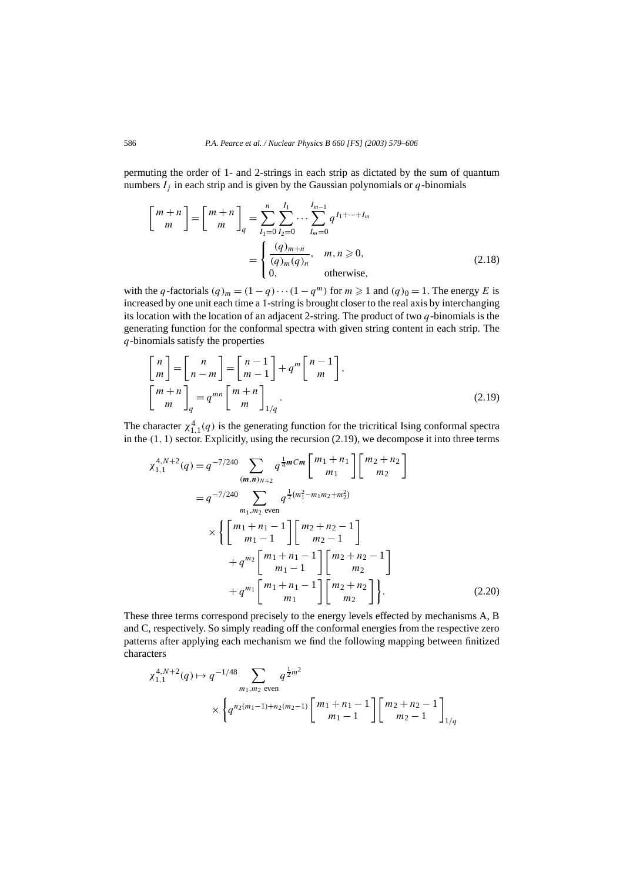permuting the order of 1- and 2-strings in each strip as dictated by the sum of quantum numbers  $I_j$  in each strip and is given by the Gaussian polynomials or  $q$ -binomials

$$
\begin{bmatrix} m+n \\ m \end{bmatrix} = \begin{bmatrix} m+n \\ m \end{bmatrix}_q = \sum_{I_1=0}^n \sum_{I_2=0}^{I_1} \cdots \sum_{I_m=0}^{I_{m-1}} q^{I_1 + \cdots + I_m} = \begin{cases} \frac{(q)_{m+n}}{(q)_m (q)_n}, & m, n \ge 0, \\ 0, & \text{otherwise,} \end{cases}
$$
(2.18)

with the *q*-factorials  $(q)_m = (1 - q) \cdots (1 - q^m)$  for  $m \ge 1$  and  $(q)_0 = 1$ . The energy *E* is increased by one unit each time a 1-string is brought closer to the real axis by interchanging its location with the location of an adjacent 2-string. The product of two *q*-binomials is the generating function for the conformal spectra with given string content in each strip. The *q*-binomials satisfy the properties

$$
\begin{bmatrix} n \\ m \end{bmatrix} = \begin{bmatrix} n \\ n-m \end{bmatrix} = \begin{bmatrix} n-1 \\ m-1 \end{bmatrix} + q^m \begin{bmatrix} n-1 \\ m \end{bmatrix},
$$
  
\n
$$
\begin{bmatrix} m+n \\ m \end{bmatrix}_q = q^{mn} \begin{bmatrix} m+n \\ m \end{bmatrix}_{1/q}.
$$
 (2.19)

The character  $\chi_{1,1}^4(q)$  is the generating function for the tricritical Ising conformal spectra in the *(*1*,* 1*)* sector. Explicitly, using the recursion (2.19), we decompose it into three terms

$$
\chi_{1,1}^{4,N+2}(q) = q^{-7/240} \sum_{(m,n)_{N+2}} q^{\frac{1}{4}m} Cm \begin{bmatrix} m_1 + n_1 \\ m_1 \end{bmatrix} \begin{bmatrix} m_2 + n_2 \\ m_2 \end{bmatrix}
$$
  
=  $q^{-7/240} \sum_{m_1, m_2 \text{ even}} q^{\frac{1}{2}(m_1^2 - m_1 m_2 + m_2^2)}$   

$$
\times \left\{ \begin{bmatrix} m_1 + n_1 - 1 \\ m_1 - 1 \end{bmatrix} \begin{bmatrix} m_2 + n_2 - 1 \\ m_2 - 1 \end{bmatrix} + q^{m_2} \begin{bmatrix} m_1 + n_1 - 1 \\ m_1 - 1 \end{bmatrix} \begin{bmatrix} m_2 + n_2 - 1 \\ m_2 \end{bmatrix} + q^{m_1} \begin{bmatrix} m_1 + n_1 - 1 \\ m_1 \end{bmatrix} \begin{bmatrix} m_2 + n_2 \\ m_2 \end{bmatrix} \right\}. \tag{2.20}
$$

These three terms correspond precisely to the energy levels effected by mechanisms A, B and C, respectively. So simply reading off the conformal energies from the respective zero patterns after applying each mechanism we find the following mapping between finitized characters

$$
\chi_{1,1}^{4,N+2}(q) \mapsto q^{-1/48} \sum_{m_1, m_2 \text{ even}} q^{\frac{1}{2}m^2}
$$
  
 
$$
\times \left\{ q^{n_2(m_1-1) + n_2(m_2-1)} \begin{bmatrix} m_1 + n_1 - 1 \\ m_1 - 1 \end{bmatrix} \begin{bmatrix} m_2 + n_2 - 1 \\ m_2 - 1 \end{bmatrix} \right\}_{1/q}
$$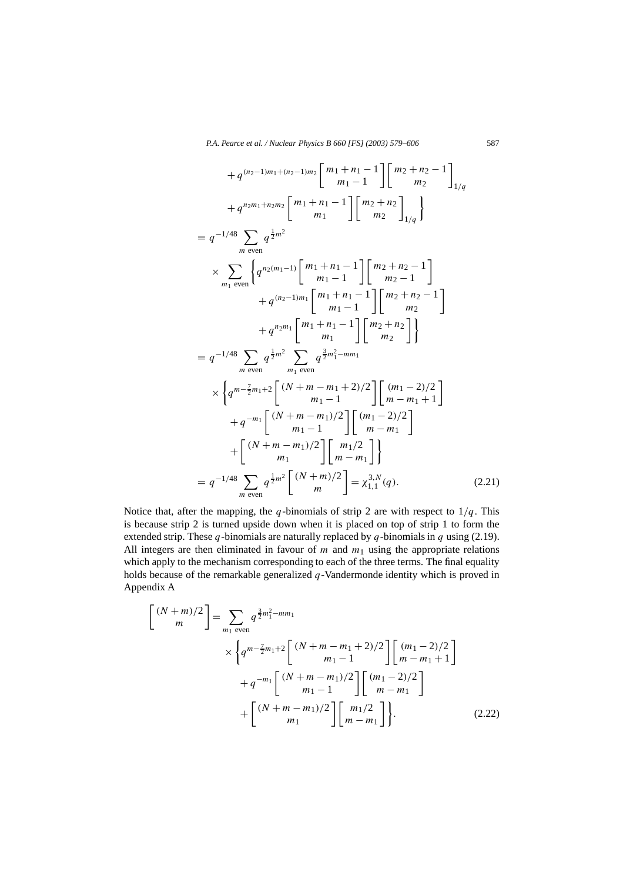$$
+ q^{(n_2-1)m_1+(n_2-1)m_2} \begin{bmatrix} m_1+n_1-1 \ m_1 \end{bmatrix} \begin{bmatrix} m_2+n_2-1 \ m_2 \end{bmatrix}_{1/q}
$$
  
\n
$$
+ q^{n_2m_1+n_2m_2} \begin{bmatrix} m_1+n_1-1 \ m_1 \end{bmatrix} \begin{bmatrix} m_2+n_2 \ m_2 \end{bmatrix}_{1/q}
$$
  
\n
$$
= q^{-1/48} \sum_{m \text{ even}} q^{\frac{1}{2}m^2}
$$
  
\n
$$
\times \sum_{m_1 \text{ even}} \begin{Bmatrix} q^{n_2(m_1-1)} \begin{bmatrix} m_1+n_1-1 \ m_1-1 \end{bmatrix} \begin{bmatrix} m_2+n_2-1 \ m_2-1 \end{bmatrix} + q^{(n_2-1)m_1} \begin{bmatrix} m_1+n_1-1 \ m_1-1 \end{bmatrix} \begin{bmatrix} m_2+n_2-1 \ m_2 \end{bmatrix}
$$
  
\n
$$
+ q^{n_2m_1} \begin{bmatrix} m_1+n_1-1 \ m_1 \end{bmatrix} \begin{bmatrix} m_2+n_2 \ m_2 \end{bmatrix}
$$
  
\n
$$
= q^{-1/48} \sum_{m \text{ even}} q^{\frac{1}{2}m^2} \sum_{m_1 \text{ even}} q^{\frac{3}{2}m_1^2-mm_1}
$$
  
\n
$$
\times \begin{Bmatrix} q^{m-\frac{7}{2}m_1+2} \begin{bmatrix} (N+m-m_1+2)/2 \ m_1-1 \end{bmatrix} \begin{bmatrix} (m_1-2)/2 \ m-m_1+1 \end{bmatrix} + q^{-m_1} \begin{bmatrix} (N+m-m_1)/2 \ m_1-1 \end{bmatrix} \begin{bmatrix} (m_1-2)/2 \ m-m_1 \end{bmatrix}
$$
  
\n
$$
+ \begin{bmatrix} (N+m-m_1)/2 \ m_1 \end{bmatrix} \begin{bmatrix} m_1/2 \ m-m_1 \end{bmatrix}
$$
  
\n
$$
= q^{-1/48} \sum_{m \text{ even}} q^{\frac{1}{2}m^2} \begin{bmatrix} (N+m)/2 \ m-m_1 \end{bmatrix} = \chi_{1,1}
$$

Notice that, after the mapping, the *q*-binomials of strip 2 are with respect to  $1/q$ . This is because strip 2 is turned upside down when it is placed on top of strip 1 to form the extended strip. These *q*-binomials are naturally replaced by *q*-binomials in *q* using (2.19). All integers are then eliminated in favour of  $m$  and  $m_1$  using the appropriate relations which apply to the mechanism corresponding to each of the three terms. The final equality holds because of the remarkable generalized *q*-Vandermonde identity which is proved in Appendix A

$$
\begin{bmatrix}\n(N+m)/2 \\
m\n\end{bmatrix} = \sum_{m_1 \text{ even}} q^{\frac{3}{2}m_1^2 - m m_1} \times \left\{ q^{m - \frac{7}{2}m_1 + 2} \begin{bmatrix} (N+m-m_1+2)/2 \\ m_1 - 1 \end{bmatrix} \begin{bmatrix} (m_1-2)/2 \\ m - m_1 + 1 \end{bmatrix} + q^{-m_1} \begin{bmatrix} (N+m-m_1)/2 \\ m_1 - 1 \end{bmatrix} \begin{bmatrix} (m_1-2)/2 \\ m - m_1 \end{bmatrix} + \begin{bmatrix} (N+m-m_1)/2 \\ m_1 \end{bmatrix} \begin{bmatrix} m_1/2 \\ m - m_1 \end{bmatrix} \right\}.
$$
\n(2.22)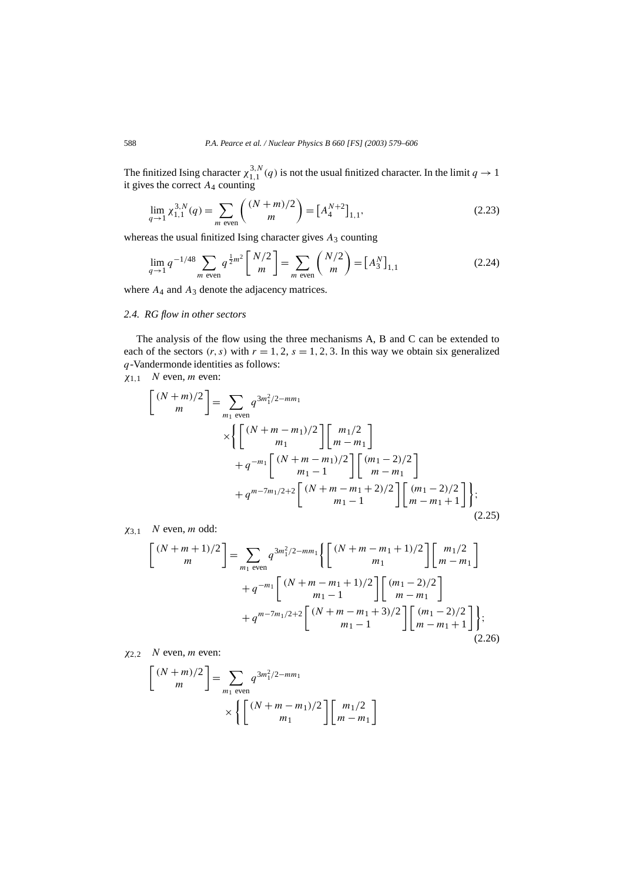The finitized Ising character  $\chi_{1,1}^{3,N}(q)$  is not the usual finitized character. In the limit  $q \to 1$ it gives the correct *A*<sup>4</sup> counting

$$
\lim_{q \to 1} \chi_{1,1}^{3,N}(q) = \sum_{m \text{ even}} \binom{(N+m)/2}{m} = \left[A_4^{N+2}\right]_{1,1},\tag{2.23}
$$

whereas the usual finitized Ising character gives *A*<sup>3</sup> counting

$$
\lim_{q \to 1} q^{-1/48} \sum_{m \text{ even}} q^{\frac{1}{2}m^2} \binom{N/2}{m} = \sum_{m \text{ even}} \binom{N/2}{m} = \left[A_3^N\right]_{1,1} \tag{2.24}
$$

where  $A_4$  and  $A_3$  denote the adjacency matrices.

#### *2.4. RG flow in other sectors*

The analysis of the flow using the three mechanisms A, B and C can be extended to each of the sectors  $(r, s)$  with  $r = 1, 2, s = 1, 2, 3$ . In this way we obtain six generalized *q*-Vandermonde identities as follows:

*χ*1*,*<sup>1</sup> *N* even, *m* even:

 $\overline{a}$ 

$$
\begin{aligned}\n\begin{bmatrix}\n(N+m)/2 \\
m\n\end{bmatrix} &= \sum_{m_1 \text{ even}} q^{3m_1^2/2 - mm_1} \\
&\times \left\{ \begin{bmatrix}\n(N+m-m_1)/2 \\
m_1\n\end{bmatrix} \begin{bmatrix}\nm_1/2 \\
m-m_1\n\end{bmatrix} + q^{-m_1} \begin{bmatrix}\n(N+m-m_1)/2 \\
m_1 - 1\n\end{bmatrix} \begin{bmatrix}\n(m_1 - 2)/2 \\
m - m_1\n\end{bmatrix} + q^{m - 7m_1/2 + 2} \begin{bmatrix}\n(N+m-m_1 + 2)/2 \\
m_1 - 1\n\end{bmatrix} \begin{bmatrix}\n(m_1 - 2)/2 \\
m - m_1 + 1\n\end{bmatrix} \right\};\n\end{aligned}
$$
\n(2.25)

*χ*3*,*<sup>1</sup> *N* even, *m* odd:

$$
\begin{bmatrix} (N+m+1)/2 \ m \end{bmatrix} = \sum_{m_1 \text{ even}} q^{3m_1^2/2 - mm_1} \left\{ \begin{bmatrix} (N+m-m_1+1)/2 \ m_1 \end{bmatrix} \begin{bmatrix} m_1/2 \ m-m_1 \end{bmatrix} + q^{-m_1} \begin{bmatrix} (N+m-m_1+1)/2 \ m_1-1 \end{bmatrix} \begin{bmatrix} (m_1-2)/2 \ m-m_1 \end{bmatrix} + q^{m-7m_1/2+2} \begin{bmatrix} (N+m-m_1+3)/2 \ m_1-1 \end{bmatrix} \begin{bmatrix} (m_1-2)/2 \ m-m_1+1 \end{bmatrix} \right\};
$$
\n(2.26)

*χ*2*,*<sup>2</sup> *N* even, *m* even:

$$
\begin{bmatrix}\n(N+m)/2 \\
m\n\end{bmatrix} = \sum_{m_1 \text{ even}} q^{3m_1^2/2 - mm_1}
$$
\n
$$
\times \left\{ \begin{bmatrix}\n(N+m-m_1)/2 \\
m_1\n\end{bmatrix} \begin{bmatrix} m_1/2 \\
m-m_1 \end{bmatrix} \right\}
$$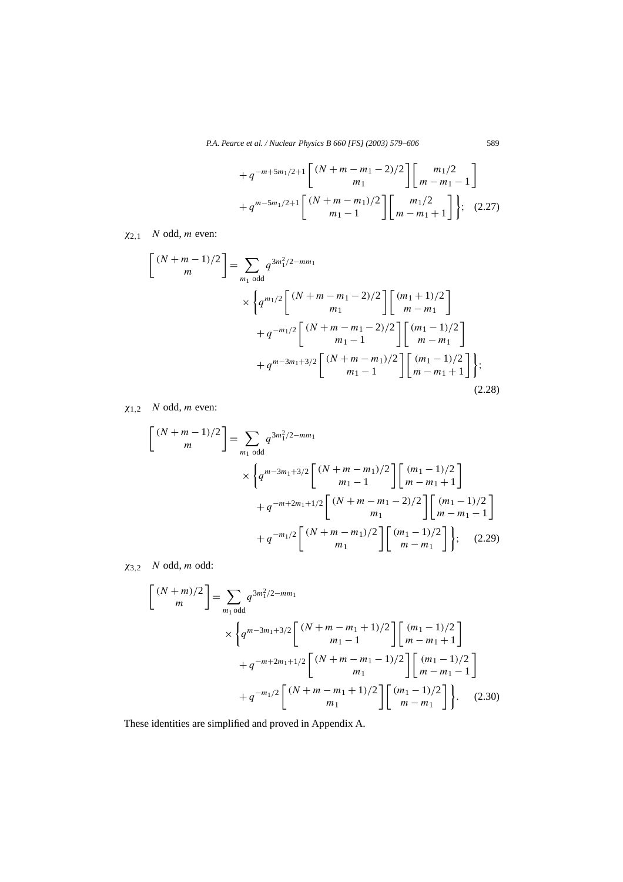$$
+ q^{-m+5m_1/2+1} \begin{bmatrix} (N+m-m_1-2)/2 \\ m_1 \end{bmatrix} \begin{bmatrix} m_1/2 \\ m-m_1-1 \end{bmatrix} + q^{m-5m_1/2+1} \begin{bmatrix} (N+m-m_1)/2 \\ m_1 \end{bmatrix} \begin{bmatrix} m_1/2 \\ m-m_1+1 \end{bmatrix};
$$
 (2.27)

*χ*2*,*<sup>1</sup> *N* odd, *m* even:

$$
\begin{bmatrix}\n(N+m-1)/2 \\
m\n\end{bmatrix} = \sum_{m_1 \text{ odd}} q^{3m_1^2/2 - mm_1} \times \left\{ q^{m_1/2} \begin{bmatrix}\n(N+m-m_1-2)/2 \\
m_1\n\end{bmatrix} \begin{bmatrix}\n(m_1+1)/2 \\
m-m_1\n\end{bmatrix} + q^{-m_1/2} \begin{bmatrix}\n(N+m-m_1-2)/2 \\
m_1-1\n\end{bmatrix} \begin{bmatrix}\n(m_1-1)/2 \\
m-m_1\n\end{bmatrix} + q^{m-3m_1+3/2} \begin{bmatrix}\n(N+m-m_1)/2 \\
m_1-1\n\end{bmatrix} \begin{bmatrix}\n(m_1-1)/2 \\
m-m_1+1\n\end{bmatrix};
$$
\n(2.28)

*χ*1*,*<sup>2</sup> *N* odd, *m* even:

$$
\begin{bmatrix} (N+m-1)/2 \ m \end{bmatrix} = \sum_{m_1 \text{ odd}} q^{3m_1^2/2 - mm_1}
$$
  
 
$$
\times \left\{ q^{m-3m_1+3/2} \begin{bmatrix} (N+m-m_1)/2 \\ m_1-1 \end{bmatrix} \begin{bmatrix} (m_1-1)/2 \\ m-m_1+1 \end{bmatrix} + q^{-m+2m_1+1/2} \begin{bmatrix} (N+m-m_1-2)/2 \\ m_1 \end{bmatrix} \begin{bmatrix} (m_1-1)/2 \\ m-m_1-1 \end{bmatrix} + q^{-m_1/2} \begin{bmatrix} (N+m-m_1)/2 \\ m_1 \end{bmatrix} \begin{bmatrix} (m_1-1)/2 \\ m-m_1 \end{bmatrix};
$$
 (2.29)

*χ*3*,*<sup>2</sup> *N* odd, *m* odd:

$$
\begin{bmatrix}\n(N+m)/2 \\
m\n\end{bmatrix} = \sum_{m_1 \text{ odd}} q^{3m_1^2/2 - mm_1}
$$
\n
$$
\times \left\{ q^{m-3m_1+3/2} \begin{bmatrix}\n(N+m-m_1+1)/2 \\
m_1-1\n\end{bmatrix} \begin{bmatrix}\n(m_1-1)/2 \\
m-m_1+1\n\end{bmatrix} + q^{-m+2m_1+1/2} \begin{bmatrix}\n(N+m-m_1-1)/2 \\
m_1\n\end{bmatrix} \begin{bmatrix}\n(m_1-1)/2 \\
m-m_1-1\n\end{bmatrix} + q^{-m_1/2} \begin{bmatrix}\n(N+m-m_1+1)/2 \\
m_1\n\end{bmatrix} \begin{bmatrix}\n(m_1-1)/2 \\
m-m_1\n\end{bmatrix} \right\}. \quad (2.30)
$$

These identities are simplified and proved in Appendix A.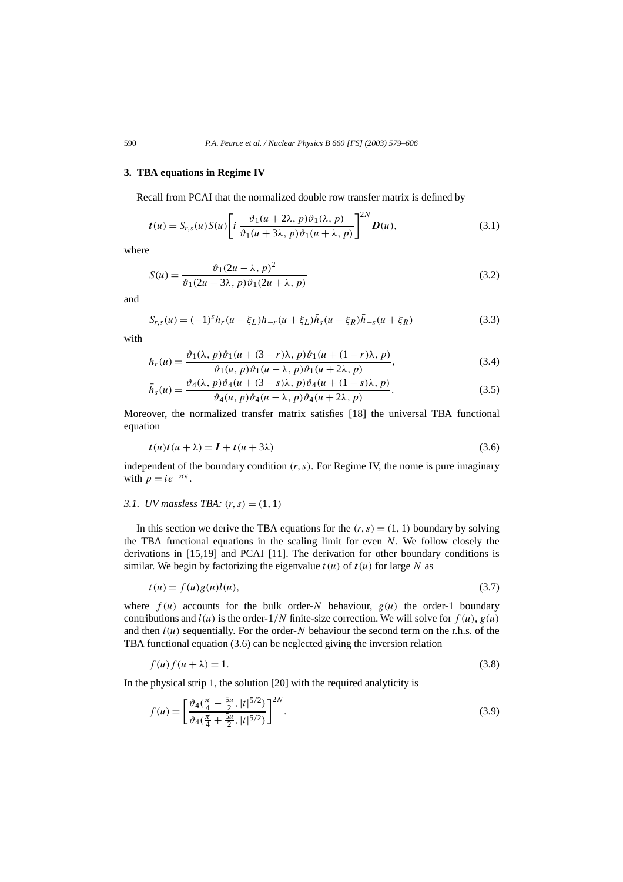#### **3. TBA equations in Regime IV**

Recall from PCAI that the normalized double row transfer matrix is defined by

$$
t(u) = S_{r,s}(u)S(u)\left[i\frac{\vartheta_1(u+2\lambda, p)\vartheta_1(\lambda, p)}{\vartheta_1(u+3\lambda, p)\vartheta_1(u+\lambda, p)}\right]^{2N}D(u),\tag{3.1}
$$

where

$$
S(u) = \frac{\vartheta_1 (2u - \lambda, p)^2}{\vartheta_1 (2u - 3\lambda, p)\vartheta_1 (2u + \lambda, p)}
$$
(3.2)

and

$$
S_{r,s}(u) = (-1)^s h_r(u - \xi_L) h_{-r}(u + \xi_L) \bar{h}_s(u - \xi_R) \bar{h}_{-s}(u + \xi_R)
$$
\n(3.3)

with

$$
h_r(u) = \frac{\vartheta_1(\lambda, p)\vartheta_1(u + (3 - r)\lambda, p)\vartheta_1(u + (1 - r)\lambda, p)}{\vartheta_1(u, p)\vartheta_1(u - \lambda, p)\vartheta_1(u + 2\lambda, p)},
$$
\n(3.4)

$$
\bar{h}_s(u) = \frac{\vartheta_4(\lambda, p)\vartheta_4(u + (3-s)\lambda, p)\vartheta_4(u + (1-s)\lambda, p)}{\vartheta_4(u, p)\vartheta_4(u - \lambda, p)\vartheta_4(u + 2\lambda, p)}.
$$
\n(3.5)

Moreover, the normalized transfer matrix satisfies [18] the universal TBA functional equation

$$
t(u)t(u + \lambda) = I + t(u + 3\lambda)
$$
\n(3.6)

independent of the boundary condition *(r, s)*. For Regime IV, the nome is pure imaginary with  $p = ie^{-\pi \epsilon}$ .

#### *3.1. UV massless TBA:*  $(r, s) = (1, 1)$

In this section we derive the TBA equations for the  $(r, s) = (1, 1)$  boundary by solving the TBA functional equations in the scaling limit for even *N*. We follow closely the derivations in [15,19] and PCAI [11]. The derivation for other boundary conditions is similar. We begin by factorizing the eigenvalue  $t(u)$  of  $t(u)$  for large N as

$$
t(u) = f(u)g(u)l(u),
$$
\n
$$
(3.7)
$$

where  $f(u)$  accounts for the bulk order-*N* behaviour,  $g(u)$  the order-1 boundary contributions and  $l(u)$  is the order-1/N finite-size correction. We will solve for  $f(u)$ ,  $g(u)$ and then  $l(u)$  sequentially. For the order- $N$  behaviour the second term on the r.h.s. of the TBA functional equation (3.6) can be neglected giving the inversion relation

$$
f(u)f(u+\lambda) = 1.
$$
\n(3.8)

In the physical strip 1, the solution [20] with the required analyticity is

$$
f(u) = \left[\frac{\vartheta_4(\frac{\pi}{4} - \frac{5u}{2}, |t|^{5/2})}{\vartheta_4(\frac{\pi}{4} + \frac{5u}{2}, |t|^{5/2})}\right]^{2N}.
$$
\n(3.9)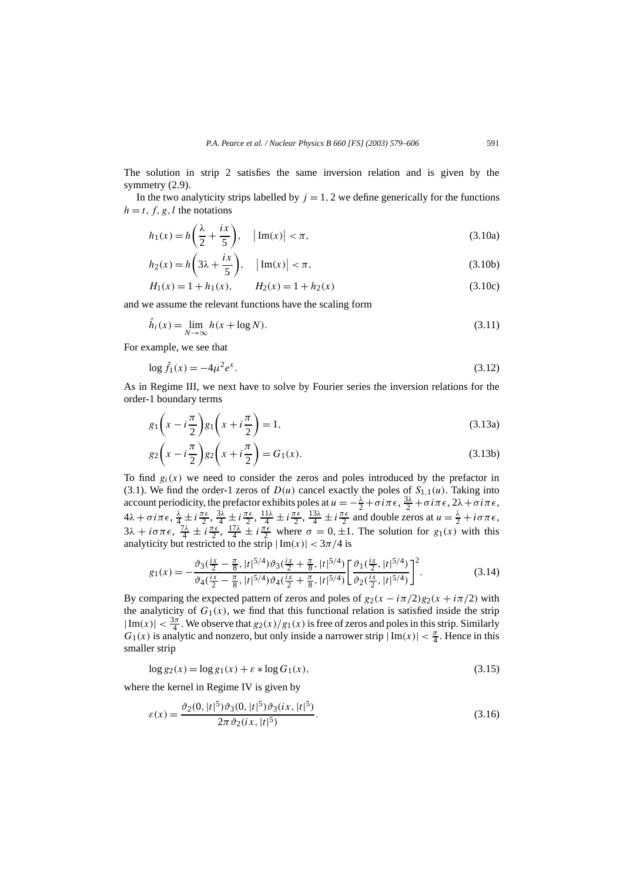The solution in strip 2 satisfies the same inversion relation and is given by the symmetry  $(2.9)$ .

In the two analyticity strips labelled by  $j = 1, 2$  we define generically for the functions  $h = t, f, g, l$  the notations

$$
h_1(x) = h\left(\frac{\lambda}{2} + \frac{ix}{5}\right), \quad |\text{Im}(x)| < \pi,
$$
 (3.10a)

$$
h_2(x) = h\left(3\lambda + \frac{ix}{5}\right), \quad \left|\text{Im}(x)\right| < \pi,\tag{3.10b}
$$

$$
H_1(x) = 1 + h_1(x), \qquad H_2(x) = 1 + h_2(x) \tag{3.10c}
$$

and we assume the relevant functions have the scaling form

$$
\hat{h}_i(x) = \lim_{N \to \infty} h(x + \log N). \tag{3.11}
$$

For example, we see that

$$
\log \hat{f}_1(x) = -4\mu^2 e^x. \tag{3.12}
$$

As in Regime III, we next have to solve by Fourier series the inversion relations for the order-1 boundary terms

$$
g_1\left(x - i\frac{\pi}{2}\right)g_1\left(x + i\frac{\pi}{2}\right) = 1,\tag{3.13a}
$$

$$
g_2\left(x - i\frac{\pi}{2}\right)g_2\left(x + i\frac{\pi}{2}\right) = G_1(x). \tag{3.13b}
$$

To find  $g_i(x)$  we need to consider the zeros and poles introduced by the prefactor in (3.1). We find the order-1 zeros of  $D(u)$  cancel exactly the poles of  $S_{1,1}(u)$ . Taking into account periodicity, the prefactor exhibits poles at  $u = -\frac{\lambda}{2} + \sigma i \pi \epsilon$ ,  $\frac{3\lambda}{2} + \sigma i \pi \epsilon$ ,  $2\lambda + \sigma i \pi \epsilon$ ,  $4\lambda + \sigma i \pi \epsilon$ ,  $\frac{\lambda}{4} \pm i \frac{\pi \epsilon}{2}$ ,  $\frac{3\lambda}{4} \pm i \frac{\pi \epsilon}{2}$ ,  $\frac{11\lambda}{4} \pm i \frac{\pi \epsilon}{2}$ ,  $\frac{13\lambda}{4} \pm i \frac{\pi \epsilon}{2}$  and double zeros at  $u = \frac{\lambda}{2} + i \sigma \pi \epsilon$ ,  $3\lambda + i\sigma\pi\epsilon$ ,  $\frac{7\lambda}{4} \pm i\frac{\pi\epsilon}{2}$ ,  $\frac{17\lambda}{4} \pm i\frac{\pi\epsilon}{2}$  where  $\sigma = 0, \pm 1$ . The solution for  $g_1(x)$  with this analyticity but restricted to the strip  $|\text{Im}(x)| < 3\pi/4$  is

$$
g_1(x) = -\frac{\vartheta_3(\frac{ix}{2} - \frac{\pi}{8}, |t|^{5/4})\vartheta_3(\frac{ix}{2} + \frac{\pi}{8}, |t|^{5/4})}{\vartheta_4(\frac{ix}{2} - \frac{\pi}{8}, |t|^{5/4})\vartheta_4(\frac{ix}{2} + \frac{\pi}{8}, |t|^{5/4})}\left[\frac{\vartheta_1(\frac{ix}{2}, |t|^{5/4})}{\vartheta_2(\frac{ix}{2}, |t|^{5/4})}\right]^2.
$$
(3.14)

By comparing the expected pattern of zeros and poles of  $g_2(x - i\pi/2)g_2(x + i\pi/2)$  with the analyticity of  $G_1(x)$ , we find that this functional relation is satisfied inside the strip  $|\text{Im}(x)| < \frac{3\pi}{4}$ . We observe that  $g_2(x)/g_1(x)$  is free of zeros and poles in this strip. Similarly *G*<sub>1</sub>(*x*) is analytic and nonzero, but only inside a narrower strip  $|\text{Im}(x)| < \frac{\pi}{4}$ . Hence in this smaller strip

$$
\log g_2(x) = \log g_1(x) + \varepsilon * \log G_1(x),\tag{3.15}
$$

where the kernel in Regime IV is given by

$$
\varepsilon(x) = \frac{\vartheta_2(0, |t|^5)\vartheta_3(0, |t|^5)\vartheta_3(ix, |t|^5)}{2\pi\vartheta_2(ix, |t|^5)}.
$$
\n(3.16)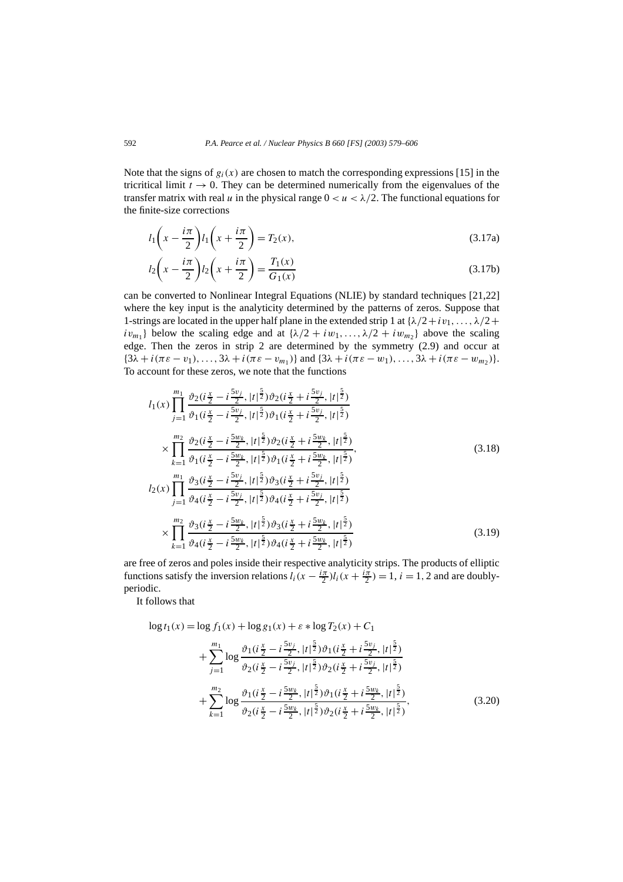Note that the signs of  $g_i(x)$  are chosen to match the corresponding expressions [15] in the tricritical limit  $t \to 0$ . They can be determined numerically from the eigenvalues of the transfer matrix with real *u* in the physical range  $0 < u < \lambda/2$ . The functional equations for the finite-size corrections

$$
l_1\left(x - \frac{i\pi}{2}\right)l_1\left(x + \frac{i\pi}{2}\right) = T_2(x),\tag{3.17a}
$$

$$
l_2\left(x - \frac{i\pi}{2}\right)l_2\left(x + \frac{i\pi}{2}\right) = \frac{T_1(x)}{G_1(x)}
$$
\n(3.17b)

can be converted to Nonlinear Integral Equations (NLIE) by standard techniques [21,22] where the key input is the analyticity determined by the patterns of zeros. Suppose that 1-strings are located in the upper half plane in the extended strip 1 at  $\{\lambda/2 + i v_1, \ldots, \lambda/2 + i v_r\}$ *iv<sub>m1</sub>*} below the scaling edge and at  $\{\lambda/2 + i w_1, \ldots, \lambda/2 + i w_m\}$  above the scaling edge. Then the zeros in strip 2 are determined by the symmetry (2.9) and occur at  $\{3\lambda + i(\pi \varepsilon - v_1), \ldots, 3\lambda + i(\pi \varepsilon - v_{m_1})\}$  and  $\{3\lambda + i(\pi \varepsilon - w_1), \ldots, 3\lambda + i(\pi \varepsilon - w_{m_2})\}.$ To account for these zeros, we note that the functions

$$
l_{1}(x) \prod_{j=1}^{m_{1}} \frac{\vartheta_{2}(i\frac{x}{2}-i\frac{5v_{j}}{2},|t|^{\frac{5}{2}})\vartheta_{2}(i\frac{x}{2}+i\frac{5v_{j}}{2},|t|^{\frac{5}{2}})}{\vartheta_{1}(i\frac{x}{2}-i\frac{5v_{j}}{2},|t|^{\frac{5}{2}})\vartheta_{1}(i\frac{x}{2}+i\frac{5v_{j}}{2},|t|^{\frac{5}{2}})} \times \prod_{k=1}^{m_{2}} \frac{\vartheta_{2}(i\frac{x}{2}-i\frac{5w_{k}}{2},|t|^{\frac{5}{2}})\vartheta_{2}(i\frac{x}{2}+i\frac{5w_{k}}{2},|t|^{\frac{5}{2}})}{\vartheta_{1}(i\frac{x}{2}-i\frac{5w_{k}}{2},|t|^{\frac{5}{2}})\vartheta_{1}(i\frac{x}{2}+i\frac{5w_{k}}{2},|t|^{\frac{5}{2}})} ,
$$
\n
$$
l_{2}(x) \prod_{j=1}^{m_{1}} \frac{\vartheta_{3}(i\frac{x}{2}-i\frac{5v_{j}}{2},|t|^{\frac{5}{2}})\vartheta_{3}(i\frac{x}{2}+i\frac{5v_{j}}{2},|t|^{\frac{5}{2}})}{\vartheta_{4}(i\frac{x}{2}-i\frac{5v_{j}}{2},|t|^{\frac{5}{2}})\vartheta_{4}(i\frac{x}{2}+i\frac{5v_{j}}{2},|t|^{\frac{5}{2}})} \times \prod_{k=1}^{m_{2}} \frac{\vartheta_{3}(i\frac{x}{2}-i\frac{5w_{k}}{2},|t|^{\frac{5}{2}})\vartheta_{3}(i\frac{x}{2}+i\frac{5w_{k}}{2},|t|^{\frac{5}{2}})}{\vartheta_{4}(i\frac{x}{2}-i\frac{5w_{k}}{2},|t|^{\frac{5}{2}})\vartheta_{4}(i\frac{x}{2}+i\frac{5w_{k}}{2},|t|^{\frac{5}{2}})} (3.19)
$$

are free of zeros and poles inside their respective analyticity strips. The products of elliptic functions satisfy the inversion relations  $l_i(x - \frac{i\pi}{2})l_i(x + \frac{i\pi}{2}) = 1$ ,  $i = 1, 2$  and are doublyperiodic.

It follows that

$$
\log t_1(x) = \log f_1(x) + \log g_1(x) + \varepsilon * \log T_2(x) + C_1
$$
  
+ 
$$
\sum_{j=1}^{m_1} \log \frac{\vartheta_1(i\frac{x}{2} - i\frac{5v_j}{2}, |t|^{\frac{5}{2}}) \vartheta_1(i\frac{x}{2} + i\frac{5v_j}{2}, |t|^{\frac{5}{2}})}{\vartheta_2(i\frac{x}{2} - i\frac{5v_j}{2}, |t|^{\frac{5}{2}}) \vartheta_2(i\frac{x}{2} + i\frac{5v_j}{2}, |t|^{\frac{5}{2}})}+ \sum_{k=1}^{m_2} \log \frac{\vartheta_1(i\frac{x}{2} - i\frac{5w_k}{2}, |t|^{\frac{5}{2}}) \vartheta_1(i\frac{x}{2} + i\frac{5w_k}{2}, |t|^{\frac{5}{2}})}{\vartheta_2(i\frac{x}{2} - i\frac{5w_k}{2}, |t|^{\frac{5}{2}}) \vartheta_2(i\frac{x}{2} + i\frac{5w_k}{2}, |t|^{\frac{5}{2}})}.
$$
(3.20)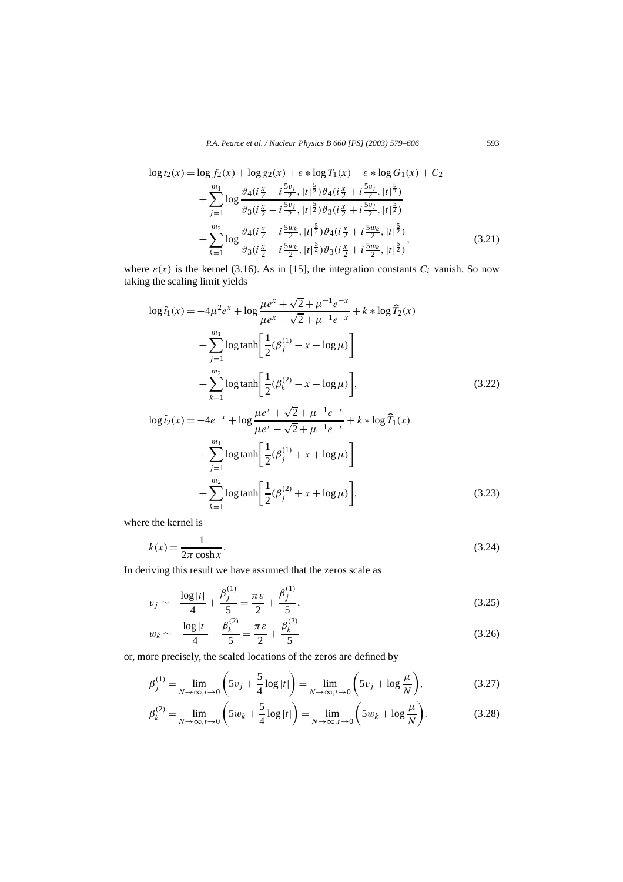$$
\log t_{2}(x) = \log f_{2}(x) + \log g_{2}(x) + \varepsilon * \log T_{1}(x) - \varepsilon * \log G_{1}(x) + C_{2}
$$
  
+ 
$$
\sum_{j=1}^{m_{1}} \log \frac{\vartheta_{4}(i\frac{x}{2} - i\frac{5v_{j}}{2}, |t|^{5})\vartheta_{4}(i\frac{x}{2} + i\frac{5v_{j}}{2}, |t|^{5})}{\vartheta_{3}(i\frac{x}{2} - i\frac{5v_{j}}{2}, |t|^{5})\vartheta_{3}(i\frac{x}{2} + i\frac{5v_{j}}{2}, |t|^{5})}
$$
  
+ 
$$
\sum_{k=1}^{m_{2}} \log \frac{\vartheta_{4}(i\frac{x}{2} - i\frac{5v_{k}}{2}, |t|^{5})\vartheta_{4}(i\frac{x}{2} + i\frac{5v_{k}}{2}, |t|^{5})}{\vartheta_{3}(i\frac{x}{2} - i\frac{5v_{k}}{2}, |t|^{5})\vartheta_{3}(i\frac{x}{2} + i\frac{5v_{k}}{2}, |t|^{5})},
$$
(3.21)

where  $\varepsilon(x)$  is the kernel (3.16). As in [15], the integration constants  $C_i$  vanish. So now taking the scaling limit yields

$$
\log \hat{t}_1(x) = -4\mu^2 e^x + \log \frac{\mu e^x + \sqrt{2} + \mu^{-1} e^{-x}}{\mu e^x - \sqrt{2} + \mu^{-1} e^{-x}} + k * \log \hat{T}_2(x)
$$
  
+ 
$$
\sum_{j=1}^{m_1} \log \tanh \left[ \frac{1}{2} (\beta_j^{(1)} - x - \log \mu) \right]
$$
  
+ 
$$
\sum_{k=1}^{m_2} \log \tanh \left[ \frac{1}{2} (\beta_k^{(2)} - x - \log \mu) \right],
$$
 (3.22)

$$
\log \hat{t}_2(x) = -4e^{-x} + \log \frac{\mu e^x + \sqrt{2} + \mu^{-1} e^{-x}}{\mu e^x - \sqrt{2} + \mu^{-1} e^{-x}} + k * \log \widehat{T}_1(x)
$$
  
+ 
$$
\sum_{j=1}^{m_1} \log \tanh \left[ \frac{1}{2} (\beta_j^{(1)} + x + \log \mu) \right]
$$
  
+ 
$$
\sum_{k=1}^{m_2} \log \tanh \left[ \frac{1}{2} (\beta_j^{(2)} + x + \log \mu) \right],
$$
 (3.23)

where the kernel is

$$
k(x) = \frac{1}{2\pi \cosh x}.\tag{3.24}
$$

In deriving this result we have assumed that the zeros scale as

$$
v_j \sim -\frac{\log|t|}{4} + \frac{\beta_j^{(1)}}{5} = \frac{\pi \varepsilon}{2} + \frac{\beta_j^{(1)}}{5},\tag{3.25}
$$

$$
w_k \sim -\frac{\log|t|}{4} + \frac{\beta_k^{(2)}}{5} = \frac{\pi \varepsilon}{2} + \frac{\beta_k^{(2)}}{5} \tag{3.26}
$$

or, more precisely, the scaled locations of the zeros are defined by

$$
\beta_j^{(1)} = \lim_{N \to \infty, t \to 0} \left( 5v_j + \frac{5}{4} \log|t| \right) = \lim_{N \to \infty, t \to 0} \left( 5v_j + \log \frac{\mu}{N} \right),\tag{3.27}
$$

$$
\beta_k^{(2)} = \lim_{N \to \infty, t \to 0} \left( 5w_k + \frac{5}{4} \log|t| \right) = \lim_{N \to \infty, t \to 0} \left( 5w_k + \log \frac{\mu}{N} \right).
$$
 (3.28)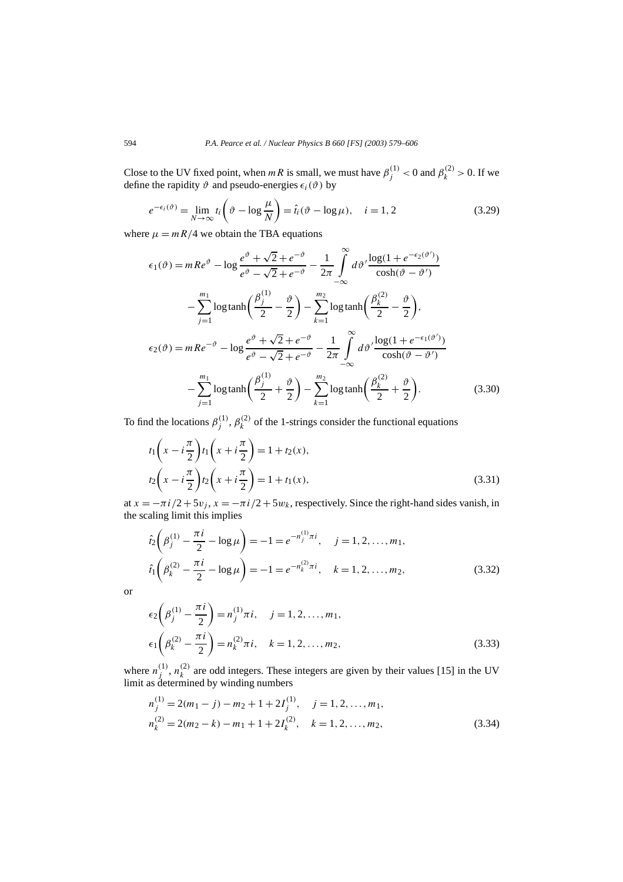Close to the UV fixed point, when *mR* is small, we must have  $\beta_j^{(1)} < 0$  and  $\beta_k^{(2)} > 0$ . If we define the rapidity  $\vartheta$  and pseudo-energies  $\epsilon_i(\vartheta)$  by

$$
e^{-\epsilon_i(\vartheta)} = \lim_{N \to \infty} t_i \left(\vartheta - \log \frac{\mu}{N}\right) = \hat{t}_i(\vartheta - \log \mu), \quad i = 1, 2 \tag{3.29}
$$

where  $\mu = mR/4$  we obtain the TBA equations

$$
\epsilon_1(\vartheta) = mRe^{\vartheta} - \log \frac{e^{\vartheta} + \sqrt{2} + e^{-\vartheta}}{e^{\vartheta} - \sqrt{2} + e^{-\vartheta}} - \frac{1}{2\pi} \int_{-\infty}^{\infty} d\vartheta' \frac{\log(1 + e^{-\epsilon_2(\vartheta')})}{\cosh(\vartheta - \vartheta')}
$$
  

$$
- \sum_{j=1}^{m_1} \log \tanh\left(\frac{\beta_j^{(1)}}{2} - \frac{\vartheta}{2}\right) - \sum_{k=1}^{m_2} \log \tanh\left(\frac{\beta_k^{(2)}}{2} - \frac{\vartheta}{2}\right),
$$
  

$$
\epsilon_2(\vartheta) = mRe^{-\vartheta} - \log \frac{e^{\vartheta} + \sqrt{2} + e^{-\vartheta}}{e^{\vartheta} - \sqrt{2} + e^{-\vartheta}} - \frac{1}{2\pi} \int_{-\infty}^{\infty} d\vartheta' \frac{\log(1 + e^{-\epsilon_1(\vartheta')})}{\cosh(\vartheta - \vartheta')}
$$
  

$$
- \sum_{j=1}^{m_1} \log \tanh\left(\frac{\beta_j^{(1)}}{2} + \frac{\vartheta}{2}\right) - \sum_{k=1}^{m_2} \log \tanh\left(\frac{\beta_k^{(2)}}{2} + \frac{\vartheta}{2}\right).
$$
 (3.30)

To find the locations  $\beta_j^{(1)}$ ,  $\beta_k^{(2)}$  of the 1-strings consider the functional equations

$$
t_1\left(x - i\frac{\pi}{2}\right)t_1\left(x + i\frac{\pi}{2}\right) = 1 + t_2(x),
$$
  

$$
t_2\left(x - i\frac{\pi}{2}\right)t_2\left(x + i\frac{\pi}{2}\right) = 1 + t_1(x),
$$
 (3.31)

at  $x = -\pi i/2 + 5v_j$ ,  $x = -\pi i/2 + 5w_k$ , respectively. Since the right-hand sides vanish, in the scaling limit this implies

$$
\hat{t}_2 \left( \beta_j^{(1)} - \frac{\pi i}{2} - \log \mu \right) = -1 = e^{-n_j^{(1)}} \pi i, \quad j = 1, 2, ..., m_1,
$$
  

$$
\hat{t}_1 \left( \beta_k^{(2)} - \frac{\pi i}{2} - \log \mu \right) = -1 = e^{-n_k^{(2)}} \pi i, \quad k = 1, 2, ..., m_2,
$$
\n(3.32)

or

$$
\epsilon_2 \left(\beta_j^{(1)} - \frac{\pi i}{2}\right) = n_j^{(1)} \pi i, \quad j = 1, 2, ..., m_1,
$$
  

$$
\epsilon_1 \left(\beta_k^{(2)} - \frac{\pi i}{2}\right) = n_k^{(2)} \pi i, \quad k = 1, 2, ..., m_2,
$$
 (3.33)

where  $n_j^{(1)}$ ,  $n_k^{(2)}$  are odd integers. These integers are given by their values [15] in the UV limit as determined by winding numbers

$$
n_j^{(1)} = 2(m_1 - j) - m_2 + 1 + 2I_j^{(1)}, \quad j = 1, 2, ..., m_1,
$$
  
\n
$$
n_k^{(2)} = 2(m_2 - k) - m_1 + 1 + 2I_k^{(2)}, \quad k = 1, 2, ..., m_2,
$$
\n(3.34)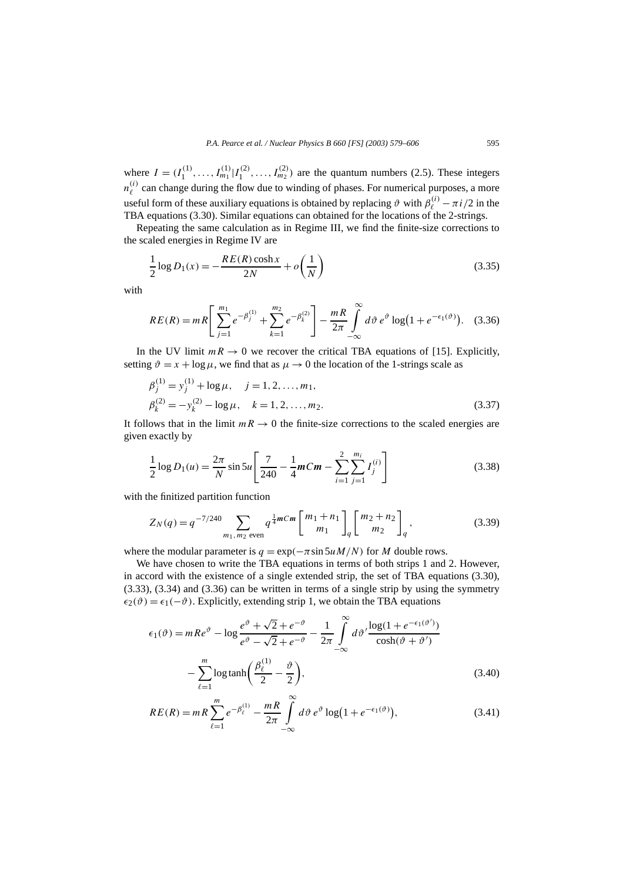where  $I = (I_1^{(1)}, \ldots, I_{m_1}^{(1)} | I_1^{(2)}, \ldots, I_{m_2}^{(2)})$  are the quantum numbers (2.5). These integers  $n_{\ell}^{(i)}$  can change during the flow due to winding of phases. For numerical purposes, a more useful form of these auxiliary equations is obtained by replacing  $\vartheta$  with  $\beta_{\ell}^{(i)} - \pi i/2$  in the TBA equations (3.30). Similar equations can obtained for the locations of the 2-strings.

Repeating the same calculation as in Regime III, we find the finite-size corrections to the scaled energies in Regime IV are

$$
\frac{1}{2}\log D_1(x) = -\frac{RE(R)\cosh x}{2N} + o\left(\frac{1}{N}\right)
$$
\n(3.35)

with

$$
RE(R) = mR \left[ \sum_{j=1}^{m_1} e^{-\beta_j^{(1)}} + \sum_{k=1}^{m_2} e^{-\beta_k^{(2)}} \right] - \frac{mR}{2\pi} \int_{-\infty}^{\infty} d\vartheta \, e^{\vartheta} \log(1 + e^{-\epsilon_1(\vartheta)}). \tag{3.36}
$$

In the UV limit  $mR \to 0$  we recover the critical TBA equations of [15]. Explicitly, setting  $\vartheta = x + \log \mu$ , we find that as  $\mu \to 0$  the location of the 1-strings scale as

$$
\beta_j^{(1)} = y_j^{(1)} + \log \mu, \quad j = 1, 2, ..., m_1,\n\beta_k^{(2)} = -y_k^{(2)} - \log \mu, \quad k = 1, 2, ..., m_2.
$$
\n(3.37)

It follows that in the limit  $mR \to 0$  the finite-size corrections to the scaled energies are given exactly by

$$
\frac{1}{2}\log D_1(u) = \frac{2\pi}{N}\sin 5u \left[\frac{7}{240} - \frac{1}{4}mCm - \sum_{i=1}^{2}\sum_{j=1}^{m_i}I_j^{(i)}\right]
$$
(3.38)

with the finitized partition function

$$
Z_N(q) = q^{-7/240} \sum_{m_1, m_2 \text{ even}} q^{\frac{1}{4}mCm} \begin{bmatrix} m_1 + n_1 \ m_1 \end{bmatrix} \begin{bmatrix} m_2 + n_2 \ m_2 \end{bmatrix} q,
$$
(3.39)

where the modular parameter is  $q = \exp(-\pi \sin 5u M/N)$  for *M* double rows.

We have chosen to write the TBA equations in terms of both strips 1 and 2. However, in accord with the existence of a single extended strip, the set of TBA equations (3.30), (3.33), (3.34) and (3.36) can be written in terms of a single strip by using the symmetry  $\epsilon_2(\vartheta) = \epsilon_1(-\vartheta)$ . Explicitly, extending strip 1, we obtain the TBA equations

$$
\epsilon_1(\vartheta) = mRe^{\vartheta} - \log \frac{e^{\vartheta} + \sqrt{2} + e^{-\vartheta}}{e^{\vartheta} - \sqrt{2} + e^{-\vartheta}} - \frac{1}{2\pi} \int_{-\infty}^{\infty} d\vartheta' \frac{\log(1 + e^{-\epsilon_1(\vartheta')})}{\cosh(\vartheta + \vartheta')}
$$

$$
- \sum_{\ell=1}^{m} \log \tanh \left( \frac{\beta_{\ell}^{(1)}}{2} - \frac{\vartheta}{2} \right),\tag{3.40}
$$

$$
RE(R) = mR \sum_{\ell=1}^{m} e^{-\beta_{\ell}^{(1)}} - \frac{mR}{2\pi} \int_{-\infty}^{\infty} d\vartheta \, e^{\vartheta} \log(1 + e^{-\epsilon_1(\vartheta)}), \tag{3.41}
$$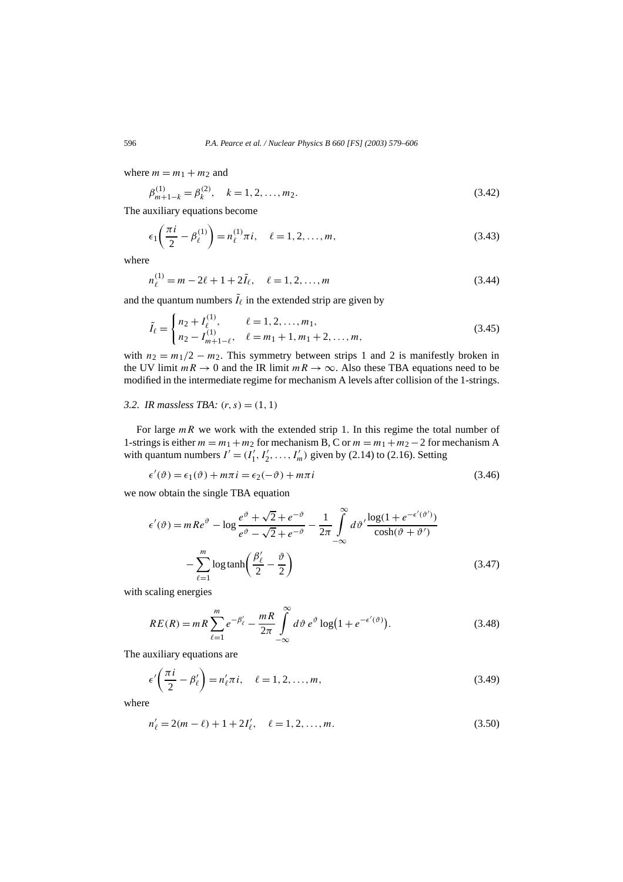where  $m = m_1 + m_2$  and

$$
\beta_{m+1-k}^{(1)} = \beta_k^{(2)}, \quad k = 1, 2, \dots, m_2.
$$
\n(3.42)

The auxiliary equations become

$$
\epsilon_1 \left( \frac{\pi i}{2} - \beta_\ell^{(1)} \right) = n_\ell^{(1)} \pi i, \quad \ell = 1, 2, ..., m,
$$
\n(3.43)

where

$$
n_{\ell}^{(1)} = m - 2\ell + 1 + 2\tilde{I}_{\ell}, \quad \ell = 1, 2, ..., m
$$
\n(3.44)

and the quantum numbers  $\tilde{I}_\ell$  in the extended strip are given by

$$
\tilde{I}_{\ell} = \begin{cases}\nn_2 + I_{\ell}^{(1)}, & \ell = 1, 2, \dots, m_1, \\
n_2 - I_{m+1-\ell}^{(1)}, & \ell = m_1 + 1, m_1 + 2, \dots, m,\n\end{cases} \tag{3.45}
$$

with  $n_2 = m_1/2 - m_2$ . This symmetry between strips 1 and 2 is manifestly broken in the UV limit  $mR \to 0$  and the IR limit  $mR \to \infty$ . Also these TBA equations need to be modified in the intermediate regime for mechanism A levels after collision of the 1-strings.

#### *3.2. IR massless TBA:*  $(r, s) = (1, 1)$

For large  $mR$  we work with the extended strip 1. In this regime the total number of 1-strings is either  $m = m_1 + m_2$  for mechanism B, C or  $m = m_1 + m_2 - 2$  for mechanism A with quantum numbers  $I' = (I'_1, I'_2, \dots, I'_m)$  given by (2.14) to (2.16). Setting

$$
\epsilon'(\vartheta) = \epsilon_1(\vartheta) + m\pi i = \epsilon_2(-\vartheta) + m\pi i
$$
\n(3.46)

we now obtain the single TBA equation

$$
\epsilon'(\vartheta) = mRe^{\vartheta} - \log \frac{e^{\vartheta} + \sqrt{2} + e^{-\vartheta}}{e^{\vartheta} - \sqrt{2} + e^{-\vartheta}} - \frac{1}{2\pi} \int_{-\infty}^{\infty} d\vartheta' \frac{\log(1 + e^{-\epsilon'(\vartheta')})}{\cosh(\vartheta + \vartheta')}
$$

$$
- \sum_{\ell=1}^{m} \log \tanh \left( \frac{\beta_{\ell}'}{2} - \frac{\vartheta}{2} \right)
$$
(3.47)

with scaling energies

$$
RE(R) = mR \sum_{\ell=1}^{m} e^{-\beta_{\ell}'} - \frac{mR}{2\pi} \int_{-\infty}^{\infty} d\vartheta \, e^{\vartheta} \log(1 + e^{-\epsilon'(\vartheta)}). \tag{3.48}
$$

The auxiliary equations are

$$
\epsilon' \left( \frac{\pi i}{2} - \beta'_{\ell} \right) = n'_{\ell} \pi i, \quad \ell = 1, 2, ..., m,
$$
\n(3.49)

where

$$
n'_{\ell} = 2(m - \ell) + 1 + 2I'_{\ell}, \quad \ell = 1, 2, ..., m.
$$
 (3.50)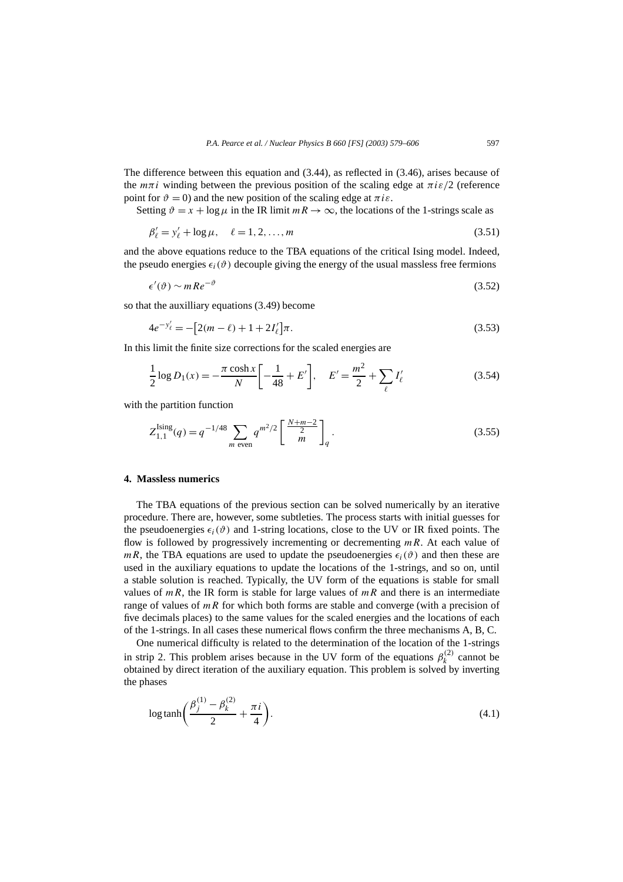The difference between this equation and (3.44), as reflected in (3.46), arises because of the  $m\pi i$  winding between the previous position of the scaling edge at  $\pi i \varepsilon/2$  (reference point for  $\vartheta = 0$ ) and the new position of the scaling edge at  $\pi i \varepsilon$ .

Setting  $\vartheta = x + \log \mu$  in the IR limit  $mR \to \infty$ , the locations of the 1-strings scale as

$$
\beta'_{\ell} = y'_{\ell} + \log \mu, \quad \ell = 1, 2, ..., m \tag{3.51}
$$

and the above equations reduce to the TBA equations of the critical Ising model. Indeed, the pseudo energies  $\epsilon_i(\vartheta)$  decouple giving the energy of the usual massless free fermions

$$
\epsilon'(\vartheta) \sim m \, Re^{-\vartheta} \tag{3.52}
$$

so that the auxilliary equations (3.49) become

$$
4e^{-y'_{\ell}} = -[2(m-\ell) + 1 + 2I'_{\ell}]\pi.
$$
\n(3.53)

In this limit the finite size corrections for the scaled energies are

$$
\frac{1}{2}\log D_1(x) = -\frac{\pi \cosh x}{N} \left[ -\frac{1}{48} + E' \right], \quad E' = \frac{m^2}{2} + \sum_{\ell} I'_{\ell} \tag{3.54}
$$

with the partition function

$$
Z_{1,1}^{\text{Ising}}(q) = q^{-1/48} \sum_{m \text{ even}} q^{m^2/2} \left[ \frac{N+m-2}{2} \right]_q.
$$
 (3.55)

# **4. Massless numerics**

The TBA equations of the previous section can be solved numerically by an iterative procedure. There are, however, some subtleties. The process starts with initial guesses for the pseudoenergies  $\epsilon_i(\vartheta)$  and 1-string locations, close to the UV or IR fixed points. The flow is followed by progressively incrementing or decrementing *mR*. At each value of *mR*, the TBA equations are used to update the pseudoenergies  $\epsilon_i(\vartheta)$  and then these are used in the auxiliary equations to update the locations of the 1-strings, and so on, until a stable solution is reached. Typically, the UV form of the equations is stable for small values of  $mR$ , the IR form is stable for large values of  $mR$  and there is an intermediate range of values of *mR* for which both forms are stable and converge (with a precision of five decimals places) to the same values for the scaled energies and the locations of each of the 1-strings. In all cases these numerical flows confirm the three mechanisms A, B, C.

One numerical difficulty is related to the determination of the location of the 1-strings in strip 2. This problem arises because in the UV form of the equations  $\beta_k^{(2)}$  cannot be obtained by direct iteration of the auxiliary equation. This problem is solved by inverting the phases

$$
\log \tanh \left( \frac{\beta_j^{(1)} - \beta_k^{(2)}}{2} + \frac{\pi i}{4} \right). \tag{4.1}
$$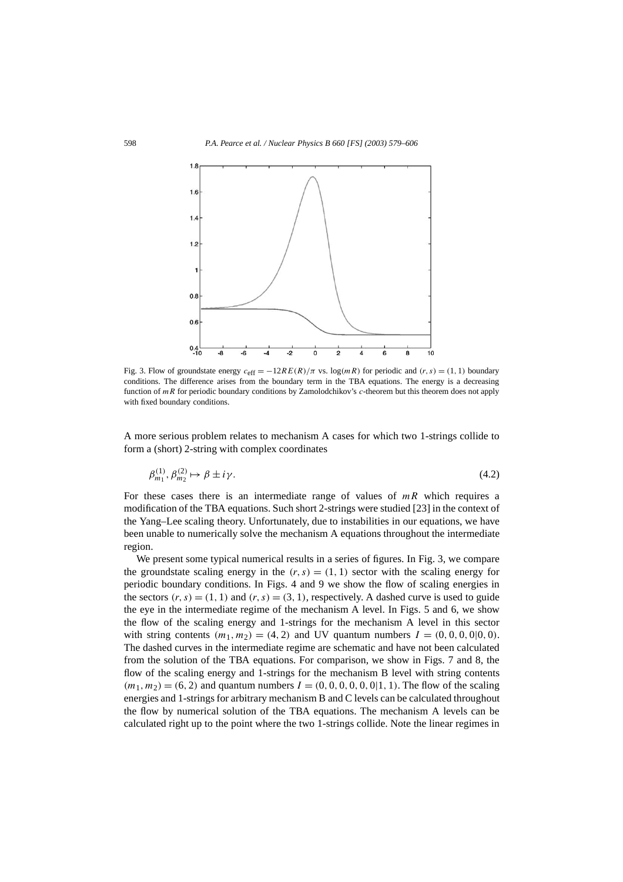

Fig. 3. Flow of groundstate energy  $c_{\text{eff}} = -12RE(R)/\pi$  vs.  $\log(mR)$  for periodic and  $(r, s) = (1, 1)$  boundary conditions. The difference arises from the boundary term in the TBA equations. The energy is a decreasing function of *mR* for periodic boundary conditions by Zamolodchikov's *c*-theorem but this theorem does not apply with fixed boundary conditions.

A more serious problem relates to mechanism A cases for which two 1-strings collide to form a (short) 2-string with complex coordinates

$$
\beta_{m_1}^{(1)}, \beta_{m_2}^{(2)} \mapsto \beta \pm i\gamma. \tag{4.2}
$$

For these cases there is an intermediate range of values of *mR* which requires a modification of the TBA equations. Such short 2-strings were studied [23] in the context of the Yang–Lee scaling theory. Unfortunately, due to instabilities in our equations, we have been unable to numerically solve the mechanism A equations throughout the intermediate region.

We present some typical numerical results in a series of figures. In Fig. 3, we compare the groundstate scaling energy in the  $(r, s) = (1, 1)$  sector with the scaling energy for periodic boundary conditions. In Figs. 4 and 9 we show the flow of scaling energies in the sectors  $(r, s) = (1, 1)$  and  $(r, s) = (3, 1)$ , respectively. A dashed curve is used to guide the eye in the intermediate regime of the mechanism A level. In Figs. 5 and 6, we show the flow of the scaling energy and 1-strings for the mechanism A level in this sector with string contents  $(m_1, m_2) = (4, 2)$  and UV quantum numbers  $I = (0, 0, 0, 0, 0, 0)$ . The dashed curves in the intermediate regime are schematic and have not been calculated from the solution of the TBA equations. For comparison, we show in Figs. 7 and 8, the flow of the scaling energy and 1-strings for the mechanism B level with string contents  $(m_1, m_2) = (6, 2)$  and quantum numbers  $I = (0, 0, 0, 0, 0, 0, 1, 1)$ . The flow of the scaling energies and 1-strings for arbitrary mechanism B and C levels can be calculated throughout the flow by numerical solution of the TBA equations. The mechanism A levels can be calculated right up to the point where the two 1-strings collide. Note the linear regimes in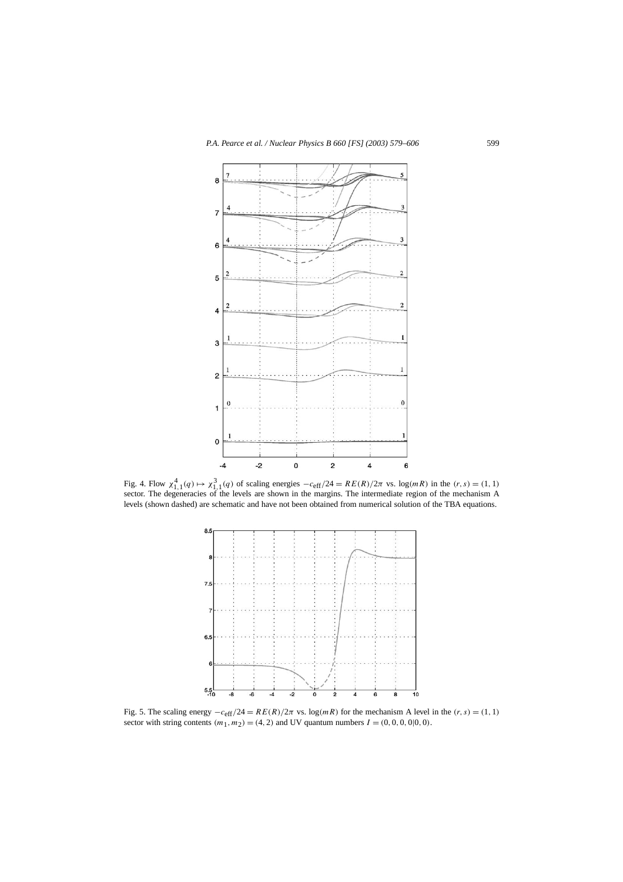

Fig. 4. Flow  $\chi^4_{1,1}(q) \mapsto \chi^3_{1,1}(q)$  of scaling energies  $-c_{\text{eff}}/24 = RE(R)/2\pi$  vs.  $\log(mR)$  in the  $(r, s) = (1, 1)$  sector. The degeneracies of the levels are shown in the margins. The intermediate region of the mechanism A levels (shown dashed) are schematic and have not been obtained from numerical solution of the TBA equations.



Fig. 5. The scaling energy  $-c_{\text{eff}}/24 = RE(R)/2\pi$  vs.  $\log(mR)$  for the mechanism A level in the  $(r, s) = (1, 1)$ sector with string contents  $(m_1, m_2) = (4, 2)$  and UV quantum numbers  $I = (0, 0, 0, 0|0, 0)$ .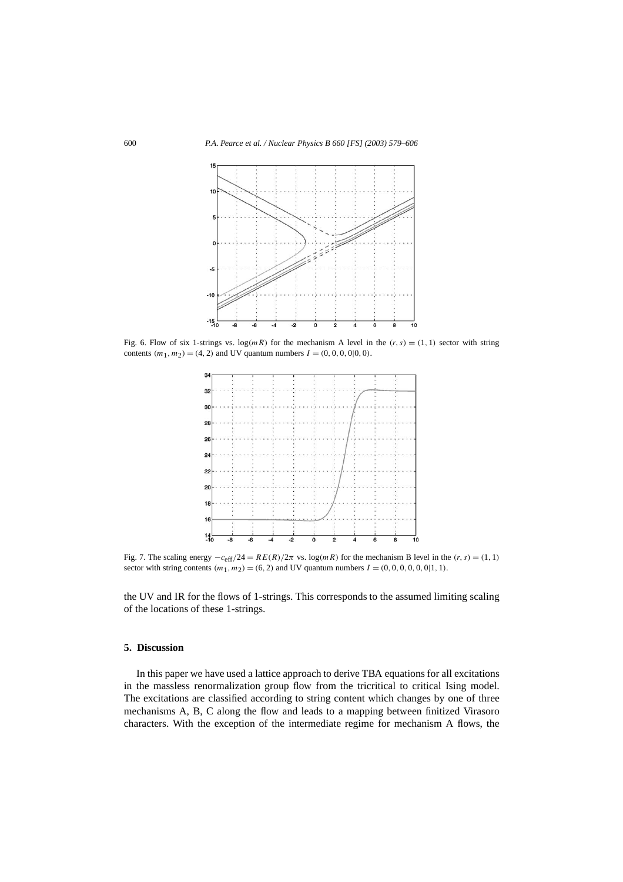

Fig. 6. Flow of six 1-strings vs.  $\log(mR)$  for the mechanism A level in the  $(r, s) = (1, 1)$  sector with string contents  $(m_1, m_2) = (4, 2)$  and UV quantum numbers  $I = (0, 0, 0, 0, 0, 0)$ .



Fig. 7. The scaling energy  $-c_{\text{eff}}/24 = RE(R)/2\pi$  vs.  $\log(mR)$  for the mechanism B level in the  $(r, s) = (1, 1)$ sector with string contents  $(m_1, m_2) = (6, 2)$  and UV quantum numbers  $I = (0, 0, 0, 0, 0, 0, 1, 1)$ .

the UV and IR for the flows of 1-strings. This corresponds to the assumed limiting scaling of the locations of these 1-strings.

#### **5. Discussion**

In this paper we have used a lattice approach to derive TBA equations for all excitations in the massless renormalization group flow from the tricritical to critical Ising model. The excitations are classified according to string content which changes by one of three mechanisms A, B, C along the flow and leads to a mapping between finitized Virasoro characters. With the exception of the intermediate regime for mechanism A flows, the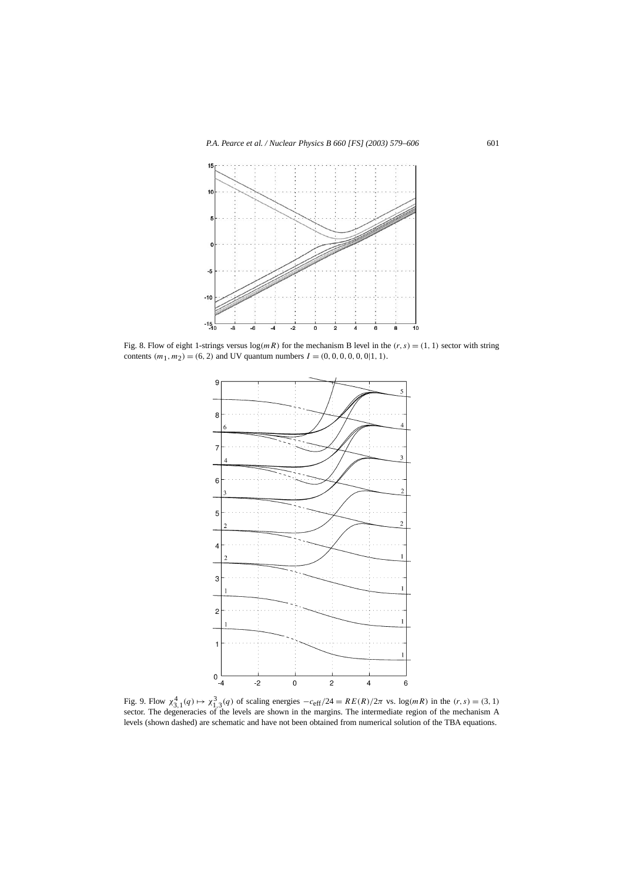

Fig. 8. Flow of eight 1-strings versus  $\log(mR)$  for the mechanism B level in the  $(r, s) = (1, 1)$  sector with string contents  $(m_1, m_2) = (6, 2)$  and UV quantum numbers  $I = (0, 0, 0, 0, 0, 0, 1, 1)$ .



Fig. 9. Flow  $\chi_{3,1}^4(q) \mapsto \chi_{1,3}^3(q)$  of scaling energies  $-c_{\text{eff}}/24 = RE(R)/2\pi$  vs.  $\log(mR)$  in the  $(r, s) = (3, 1)$  sector. The degeneracies of the levels are shown in the margins. The intermediate region of the mechanism A levels (shown dashed) are schematic and have not been obtained from numerical solution of the TBA equations.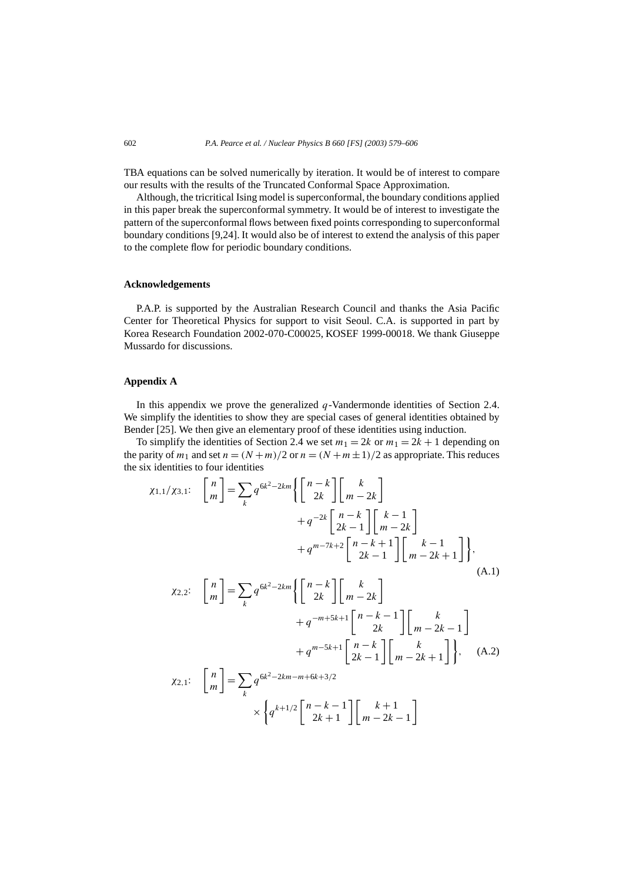TBA equations can be solved numerically by iteration. It would be of interest to compare our results with the results of the Truncated Conformal Space Approximation.

Although, the tricritical Ising model is superconformal, the boundary conditions applied in this paper break the superconformal symmetry. It would be of interest to investigate the pattern of the superconformal flows between fixed points corresponding to superconformal boundary conditions [9,24]. It would also be of interest to extend the analysis of this paper to the complete flow for periodic boundary conditions.

#### **Acknowledgements**

P.A.P. is supported by the Australian Research Council and thanks the Asia Pacific Center for Theoretical Physics for support to visit Seoul. C.A. is supported in part by Korea Research Foundation 2002-070-C00025, KOSEF 1999-00018. We thank Giuseppe Mussardo for discussions.

# **Appendix A**

In this appendix we prove the generalized *q*-Vandermonde identities of Section 2.4. We simplify the identities to show they are special cases of general identities obtained by Bender [25]. We then give an elementary proof of these identities using induction.

To simplify the identities of Section 2.4 we set  $m_1 = 2k$  or  $m_1 = 2k + 1$  depending on the parity of  $m_1$  and set  $n = (N+m)/2$  or  $n = (N+m\pm1)/2$  as appropriate. This reduces the six identities to four identities

$$
\chi_{1,1}/\chi_{3,1}: \begin{bmatrix} n \\ m \end{bmatrix} = \sum_{k} q^{6k^{2}-2km} \left\{ \begin{bmatrix} n-k \\ 2k \end{bmatrix} \begin{bmatrix} k \\ m-2k \end{bmatrix} + q^{-2k} \begin{bmatrix} n-k \\ 2k-1 \end{bmatrix} \begin{bmatrix} k-1 \\ m-2k \end{bmatrix} + q^{m-7k+2} \begin{bmatrix} n-k+1 \\ 2k-1 \end{bmatrix} \begin{bmatrix} k-1 \\ m-2k+1 \end{bmatrix} \right\},
$$
\n
$$
\chi_{2,2}: \begin{bmatrix} n \\ m \end{bmatrix} = \sum_{k} q^{6k^{2}-2km} \left\{ \begin{bmatrix} n-k \\ 2k \end{bmatrix} \begin{bmatrix} k \\ m-2k \end{bmatrix} + q^{-m+5k+1} \begin{bmatrix} n-k-1 \\ 2k \end{bmatrix} \begin{bmatrix} k \\ m-2k-1 \end{bmatrix} + q^{m-5k+1} \begin{bmatrix} n-k \\ 2k-1 \end{bmatrix} \begin{bmatrix} k \\ m-2k+1 \end{bmatrix} \right\},
$$
\n
$$
\chi_{2,1}: \begin{bmatrix} n \\ m \end{bmatrix} = \sum_{k} q^{6k^{2}-2km-m+6k+3/2} \times \left\{ q^{k+1/2} \begin{bmatrix} n-k-1 \\ 2k-1 \end{bmatrix} \begin{bmatrix} k+1 \\ m-2k+1 \end{bmatrix} \right\},
$$
\n
$$
(\text{A.2})
$$

 $2k + 1$ 

*m* − 2*k* − 1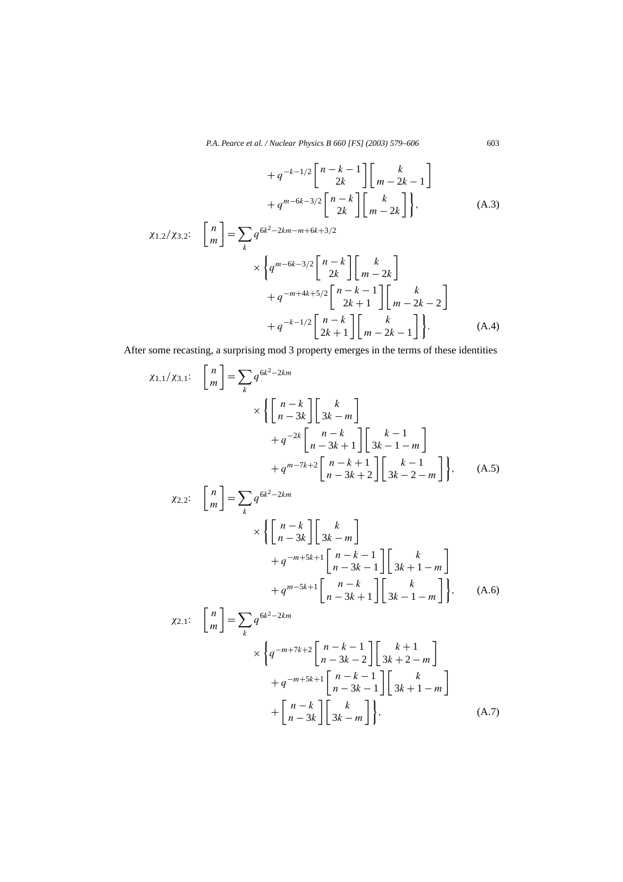$$
+ q^{-k-1/2} \begin{bmatrix} n-k-1 \\ 2k \end{bmatrix} \begin{bmatrix} k \\ m-2k-1 \end{bmatrix}
$$

$$
+ q^{m-6k-3/2} \begin{bmatrix} n-k \\ 2k \end{bmatrix} \begin{bmatrix} k \\ m-2k \end{bmatrix},
$$
(A.3)

$$
\chi_{1,2}/\chi_{3,2}: \begin{bmatrix} n \\ m \end{bmatrix} = \sum_{k} q^{6k^{2}-2km-m+6k+3/2} \times \left\{ q^{m-6k-3/2} \begin{bmatrix} n-k \\ 2k \end{bmatrix} \begin{bmatrix} k \\ m-2k \end{bmatrix} + q^{-m+4k+5/2} \begin{bmatrix} n-k-1 \\ 2k+1 \end{bmatrix} \begin{bmatrix} k \\ m-2k-2 \end{bmatrix} + q^{-k-1/2} \begin{bmatrix} n-k \\ 2k+1 \end{bmatrix} \begin{bmatrix} k \\ m-2k-1 \end{bmatrix} \right\}. \tag{A.4}
$$

After some recasting, a surprising mod 3 property emerges in the terms of these identities

$$
\chi_{1,1}/\chi_{3,1}: \quad \begin{bmatrix} n \\ m \end{bmatrix} = \sum_{k} q^{6k^{2}-2km} \times \left\{ \begin{bmatrix} n-k \\ n-3k \end{bmatrix} \begin{bmatrix} k \\ 3k-m \end{bmatrix} + q^{-2k} \begin{bmatrix} n-k \\ n-3k+1 \end{bmatrix} \begin{bmatrix} k-1 \\ 3k-1-m \end{bmatrix} + q^{m-7k+2} \begin{bmatrix} n-k+1 \\ n-3k+2 \end{bmatrix} \begin{bmatrix} k-1 \\ 3k-2-m \end{bmatrix} \right\}, \quad (A.5)
$$
  

$$
\chi_{2,2}: \quad \begin{bmatrix} n \\ m \end{bmatrix} = \sum_{k} q^{6k^{2}-2km} \times \left\{ \begin{bmatrix} n-k \\ n-3k \end{bmatrix} \begin{bmatrix} k \\ 3k-m \end{bmatrix} + q^{-m+5k+1} \begin{bmatrix} n-k-1 \\ n-3k-1 \end{bmatrix} \begin{bmatrix} k \\ 3k+1-m \end{bmatrix} + q^{m-5k+1} \begin{bmatrix} n-k \\ n-3k+1 \end{bmatrix} \begin{bmatrix} k \\ 3k-1-m \end{bmatrix} \right\}, \quad (A.6)
$$
  

$$
\chi_{2,1}: \quad \begin{bmatrix} n \\ m \end{bmatrix} = \sum_{k} q^{6k^{2}-2km} \times \left\{ q^{-m+7k+2} \begin{bmatrix} n-k-1 \\ n-3k-2 \end{bmatrix} \begin{bmatrix} k+1 \\ 2k+2-m \end{bmatrix} \right.
$$

*n* − 3*k* − 2

*n* − 3*k* − 1

 $\begin{bmatrix} k \\ 3k-m \end{bmatrix}$ 

 $+q^{-m+5k+1} \left[ \begin{array}{cc} n-k-1 \\ n-2k \end{array} \right]$ 

 $\left| \begin{matrix} \end{matrix} \right|$ 

3*k* + 2 − *m*

3*k* + 1 − *m*

ı

 $\bigcap k$ 

 $+\begin{bmatrix} n-k \\ n-3k \end{bmatrix} \begin{bmatrix} k \\ 3k-m \end{bmatrix}$ , (A.7)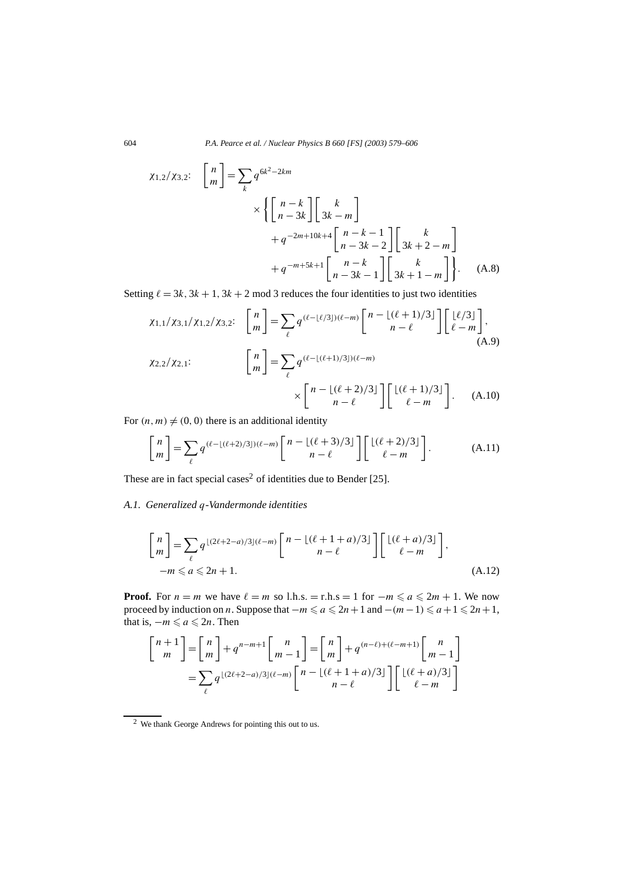$$
\chi_{1,2}/\chi_{3,2}: \quad \begin{bmatrix} n \\ m \end{bmatrix} = \sum_{k} q^{6k^{2}-2km} \times \left\{ \begin{bmatrix} n-k \\ n-3k \end{bmatrix} \begin{bmatrix} k \\ 3k-m \end{bmatrix} + q^{-2m+10k+4} \begin{bmatrix} n-k-1 \\ n-3k-2 \end{bmatrix} \begin{bmatrix} k \\ 3k+2-m \end{bmatrix} + q^{-m+5k+1} \begin{bmatrix} n-k \\ n-3k-1 \end{bmatrix} \begin{bmatrix} k \\ 3k+1-m \end{bmatrix} \right\}. \tag{A.8}
$$

Setting  $\ell = 3k$ ,  $3k + 1$ ,  $3k + 2$  mod 3 reduces the four identities to just two identities

$$
\chi_{1,1}/\chi_{3,1}/\chi_{1,2}/\chi_{3,2}: \begin{bmatrix} n \\ m \end{bmatrix} = \sum_{\ell} q^{(\ell - \lfloor \ell/3 \rfloor)(\ell - m)} \begin{bmatrix} n - \lfloor (\ell + 1)/3 \rfloor \\ n - \ell \end{bmatrix} \begin{bmatrix} \lfloor \ell/3 \rfloor \\ \ell - m \end{bmatrix},
$$
\n
$$
\chi_{2,2}/\chi_{2,1}: \begin{bmatrix} n \\ m \end{bmatrix} = \sum_{\ell} q^{(\ell - \lfloor (\ell + 1)/3 \rfloor)(\ell - m)} \times \begin{bmatrix} n - \lfloor (\ell + 2)/3 \rfloor \\ n - \ell \end{bmatrix} \begin{bmatrix} \lfloor (\ell + 1)/3 \rfloor \\ \ell - m \end{bmatrix}.
$$
\n(A.10)

For  $(n, m) \neq (0, 0)$  there is an additional identity

$$
\begin{bmatrix} n \\ m \end{bmatrix} = \sum_{\ell} q^{(\ell - \lfloor (\ell + 2)/3 \rfloor)(\ell - m)} \begin{bmatrix} n - \lfloor (\ell + 3)/3 \rfloor \\ n - \ell \end{bmatrix} \begin{bmatrix} \lfloor (\ell + 2)/3 \rfloor \\ \ell - m \end{bmatrix}.
$$
 (A.11)

These are in fact special cases<sup>2</sup> of identities due to Bender [25].

### *A.1. Generalized q-Vandermonde identities*

$$
\begin{bmatrix} n \\ m \end{bmatrix} = \sum_{\ell} q^{\lfloor (2\ell + 2 - a)/3 \rfloor (\ell - m)} \begin{bmatrix} n - \lfloor (\ell + 1 + a)/3 \rfloor \\ n - \ell \end{bmatrix} \begin{bmatrix} \lfloor (\ell + a)/3 \rfloor \\ \ell - m \end{bmatrix},
$$
  
- $m \le a \le 2n + 1.$  (A.12)

**Proof.** For  $n = m$  we have  $\ell = m$  so l.h.s. = r.h.s = 1 for  $-m \le a \le 2m + 1$ . We now proceed by induction on *n*. Suppose that  $-m \le a \le 2n+1$  and  $-(m-1) \le a+1 \le 2n+1$ , that is,  $-m \leq a \leq 2n$ . Then

$$
\begin{bmatrix} n+1 \ m \end{bmatrix} = \begin{bmatrix} n \\ m \end{bmatrix} + q^{n-m+1} \begin{bmatrix} n \\ m-1 \end{bmatrix} = \begin{bmatrix} n \\ m \end{bmatrix} + q^{(n-\ell)+(\ell-m+1)} \begin{bmatrix} n \\ m-1 \end{bmatrix}
$$

$$
= \sum_{\ell} q^{\lfloor (2\ell+2-a)/3 \rfloor (\ell-m)} \begin{bmatrix} n - \lfloor (\ell+1+a)/3 \rfloor \\ n-\ell \end{bmatrix} \begin{bmatrix} \lfloor (\ell+a)/3 \rfloor \\ \ell-m \end{bmatrix}
$$

<sup>2</sup> We thank George Andrews for pointing this out to us.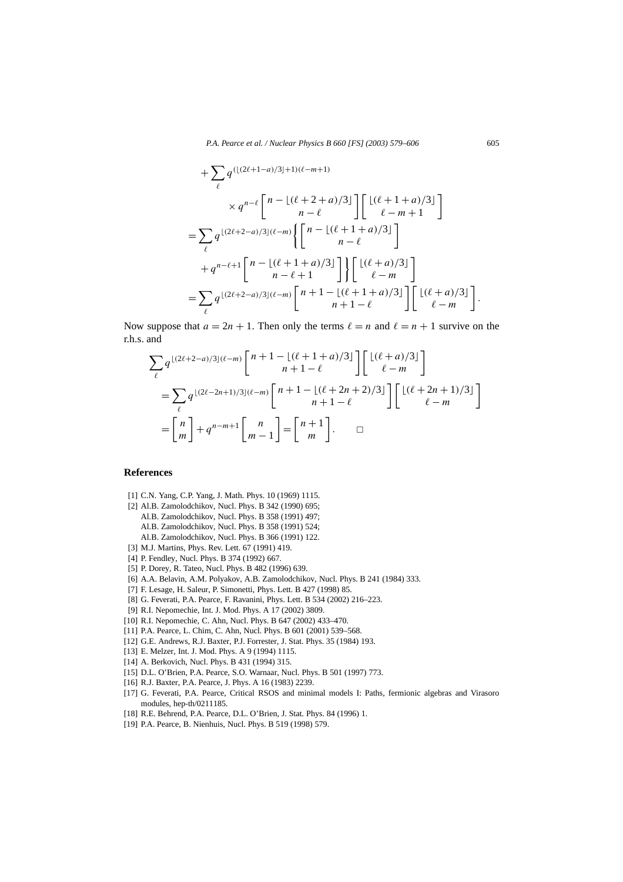$$
+\sum_{\ell} q^{(\lfloor (2\ell+1-a)/3 \rfloor+1)(\ell-m+1)} \times q^{n-\ell} \begin{bmatrix} n - \lfloor (\ell+2+a)/3 \rfloor \\ n-\ell \end{bmatrix} \begin{bmatrix} \lfloor (\ell+1+a)/3 \rfloor \\ \ell-m+1 \end{bmatrix}
$$
  
=  $\sum_{\ell} q^{\lfloor (2\ell+2-a)/3 \rfloor (\ell-m)} \left\{ \begin{bmatrix} n - \lfloor (\ell+1+a)/3 \rfloor \\ n-\ell \end{bmatrix} + q^{n-\ell+1} \begin{bmatrix} n - \lfloor (\ell+1+a)/3 \rfloor \\ n-\ell+1 \end{bmatrix} \right\} \begin{bmatrix} \lfloor (\ell+a)/3 \rfloor \\ \ell-m \end{bmatrix}$   
=  $\sum_{\ell} q^{\lfloor (2\ell+2-a)/3 \rfloor (\ell-m)} \begin{bmatrix} n+1 - \lfloor (\ell+1+a)/3 \rfloor \\ n+1-\ell \end{bmatrix} \begin{bmatrix} \lfloor (\ell+a)/3 \rfloor \\ \ell-m \end{bmatrix}.$ 

Now suppose that  $a = 2n + 1$ . Then only the terms  $\ell = n$  and  $\ell = n + 1$  survive on the r.h.s. and

$$
\sum_{\ell} q^{\lfloor (2\ell+2-a)/3 \rfloor (\ell-m)} \begin{bmatrix} n+1-\lfloor (\ell+1+a)/3 \rfloor \\ n+1-\ell \end{bmatrix} \begin{bmatrix} \lfloor (\ell+a)/3 \rfloor \\ \ell-m \end{bmatrix}
$$

$$
= \sum_{\ell} q^{\lfloor (2\ell-2n+1)/3 \rfloor (\ell-m)} \begin{bmatrix} n+1-\lfloor (\ell+2n+2)/3 \rfloor \\ n+1-\ell \end{bmatrix} \begin{bmatrix} \lfloor (\ell+2n+1)/3 \rfloor \\ \ell-m \end{bmatrix}
$$

$$
= \begin{bmatrix} n \\ m \end{bmatrix} + q^{n-m+1} \begin{bmatrix} n \\ m-1 \end{bmatrix} = \begin{bmatrix} n+1 \\ m \end{bmatrix}.
$$

#### **References**

- [1] C.N. Yang, C.P. Yang, J. Math. Phys. 10 (1969) 1115.
- [2] Al.B. Zamolodchikov, Nucl. Phys. B 342 (1990) 695;
	- Al.B. Zamolodchikov, Nucl. Phys. B 358 (1991) 497;
	- Al.B. Zamolodchikov, Nucl. Phys. B 358 (1991) 524;
	- Al.B. Zamolodchikov, Nucl. Phys. B 366 (1991) 122.
- [3] M.J. Martins, Phys. Rev. Lett. 67 (1991) 419.
- [4] P. Fendley, Nucl. Phys. B 374 (1992) 667.
- [5] P. Dorey, R. Tateo, Nucl. Phys. B 482 (1996) 639.
- [6] A.A. Belavin, A.M. Polyakov, A.B. Zamolodchikov, Nucl. Phys. B 241 (1984) 333.
- [7] F. Lesage, H. Saleur, P. Simonetti, Phys. Lett. B 427 (1998) 85.
- [8] G. Feverati, P.A. Pearce, F. Ravanini, Phys. Lett. B 534 (2002) 216–223.
- [9] R.I. Nepomechie, Int. J. Mod. Phys. A 17 (2002) 3809.
- [10] R.I. Nepomechie, C. Ahn, Nucl. Phys. B 647 (2002) 433–470.
- [11] P.A. Pearce, L. Chim, C. Ahn, Nucl. Phys. B 601 (2001) 539-568.
- [12] G.E. Andrews, R.J. Baxter, P.J. Forrester, J. Stat. Phys. 35 (1984) 193.
- [13] E. Melzer, Int. J. Mod. Phys. A 9 (1994) 1115.
- [14] A. Berkovich, Nucl. Phys. B 431 (1994) 315.
- [15] D.L. O'Brien, P.A. Pearce, S.O. Warnaar, Nucl. Phys. B 501 (1997) 773.
- [16] R.J. Baxter, P.A. Pearce, J. Phys. A 16 (1983) 2239.
- [17] G. Feverati, P.A. Pearce, Critical RSOS and minimal models I: Paths, fermionic algebras and Virasoro modules, hep-th/0211185.
- [18] R.E. Behrend, P.A. Pearce, D.L. O'Brien, J. Stat. Phys. 84 (1996) 1.
- [19] P.A. Pearce, B. Nienhuis, Nucl. Phys. B 519 (1998) 579.